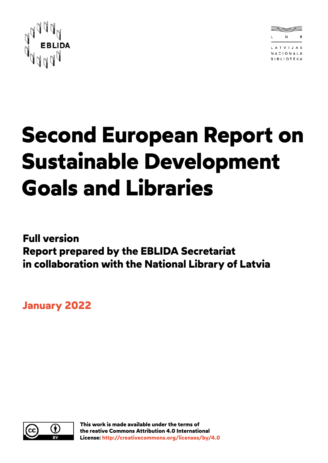



# **Second European Report on Sustainable Development Goals and Libraries**

**Full version Report prepared by the EBLIDA Secretariat in collaboration with the National Library of Latvia**

**January 2022**

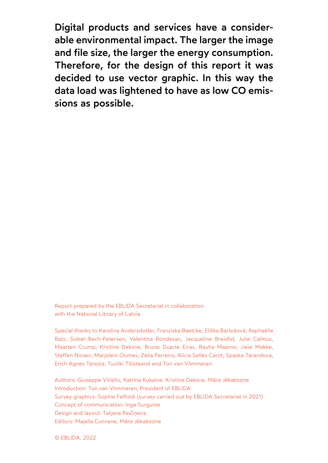Digital products and services have a considerable environmental impact. The larger the image and file size, the larger the energy consumption. Therefore, for the design of this report it was decided to use vector graphic. In this way the data load was lightened to have as low CO emissions as possible.

Report prepared by the EBLIDA Secretariat in collaboration with the National Library of Latvia

Special thanks to Karolina Andersdotter, Franziska Baetcke, Eliška Bartošová, Raphaëlle Bats, Sidsel Bech-Petersen, Valentina Bondesan, Jacqueline Breidlid, Julie Calmus, Maarten Crump, Kristīne Deksne, Bruno Duarte Eiras, Rauha Maarno, Jane Makke, Steffen Nissen, Marjolein Oomes, Zélia Parreira, Alicia Sellés Carot, Spaska Tarandova, Erich Agnes Terezia, Tuuliki Tõisteand and Ton van Vlimmeren.

Authors: Giuseppe Vitiello, Katrīna Kukaine, Kristīne Deksne, Māra Jēkabsone Introduction: Ton van Vlimmeren, President of EBLIDA Survey graphics: Sophie Felfoldi (survey carried out by EBLIDA Secretariat in 2021) Concept of communication: Inga Surgunte Design and layout: Tatjana Raičiņeca Editors: Majella Cunnane, Māra Jēkabsone

© EBLIDA, 2022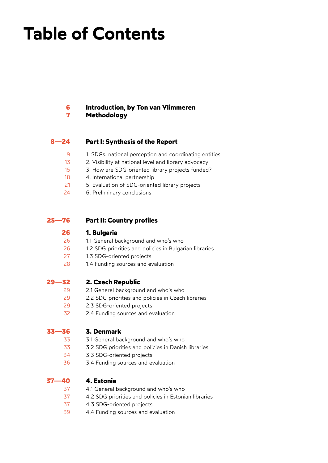# **Table of Contents**

#### **[Introduction, by Ton van Vlimmeren](#page-5-0) [Methodology](#page-6-0) [6](#page-5-0) [7](#page-6-0)**

### **[Part I: Synthesis of the Report](#page-7-0) [8—24](#page-7-0)**

- [1. SDGs: national perception and coordinating entities](#page-8-0) [9](#page-8-0)
- [2. Visibility at national level and library advocacy](#page-12-0) [13](#page-12-0)
- [3. How are SDG-oriented library projects funded?](#page-14-0) [15](#page-14-0)
- [4. International partnership](#page-17-0) [18](#page-17-0)
- [5. Evaluation of SDG-oriented library projects](#page-20-0) [21](#page-20-0)
- [6. Preliminary conclusions](#page-23-0) [24](#page-23-0)

#### **[Part II: Country profiles](#page-24-0) [25—76](#page-24-0)**

#### **[1. Bulgaria](#page-25-0) [26](#page-25-0)**

- [1.1 General background and who's who](#page-25-0) [26](#page-25-0)
- [1.2 SDG priorities and policies in Bulgarian libraries](#page-25-0) [26](#page-25-0)
- [1.3 SDG-oriented projects](#page-26-0) [27](#page-26-0)
- [1.4 Funding sources and evaluation](#page-27-0) [28](https://udrzitelna.knihovna.cz/tema-2021#h.6v1499xs50az)
- **[2. Czech Republic](#page-28-0) [29—32](#page-28-0)**
	- [2.1 General background and who's who](#page-28-0) [29](#page-28-0)
	- [2.2 SDG priorities and policies in Czech libraries](#page-28-0) [29](#page-28-0)
	- [2.3 SDG-oriented projects](#page-28-0) [29](#page-28-0)
	- [2.4 Funding sources and evaluation](#page-31-0) 32

#### **[3. Denmark](#page-32-0) [33—36](#page-32-0)**

- [3.1 General background and who's who](#page-32-0) [33](#page-32-0)
- [3.2 SDG priorities and policies in Danish libraries](#page-32-0) [33](#page-32-0)
- [3.3 SDG-oriented projects](#page-33-0) [34](#page-33-0)
- [3.4 Funding sources and evaluation](#page-35-0) [36](#page-35-0)

#### **[4. Estonia](#page-36-0) [37—40](#page-36-0)**

- [4.1 General background and who's who](#page-36-0) [37](#page-36-0)
- [4.2 SDG priorities and policies in Estonian libraries](#page-36-0) [37](#page-36-0)
- [4.3 SDG-oriented projects](#page-36-0) [37](#page-36-0)
- [4.4 Funding sources and evaluation](#page-38-0) [39](#page-38-0)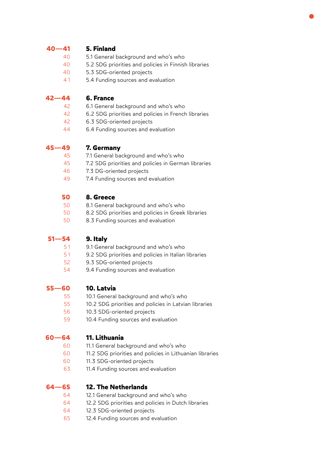### **[5. Finland](#page-39-0) [40—41](#page-39-0)**

- [5.1 General background and who's who](#page-39-0) 40
- [5.2 SDG priorities and policies in Finnish libraries](#page-39-0) 40
- [5.3 SDG-oriented projects](#page-39-0) 40
- [5.4 Funding sources and evaluation](#page-40-0) [4 1](#page-40-0)

#### **[6. France](#page-41-0) [42—44](#page-41-0)**

- [6.1 General background and who's who](#page-41-0) [42](#page-41-0)
- [6.2 SDG priorities and policies in French libraries](#page-41-0) [42](#page-41-0)
- [6.3 SDG-oriented projects](#page-41-0) [42](#page-41-0)
- [6.4 Funding sources and evaluation](#page-43-0) [44](#page-43-0)

#### **[7. Germany](#page-44-0) [45—49](#page-44-0)**

- [7.1 General background and who's who](#page-44-0) [45](#page-44-0)
- [7.2 SDG priorities and policies in German libraries](#page-44-0) [45](#page-44-0)
- [7.3 DG-oriented projects](#page-45-0) [46](#page-45-0)
- [7.4 Funding sources and evaluation](#page-48-0) [49](#page-48-0)

#### **[8. Greece](#page-49-0) [50](#page-49-0)**

- [8.1 General background and who's who](#page-49-0) [50](#page-49-0)
- [8.2 SDG priorities and policies in Greek libraries](#page-49-0) [50](#page-49-0)
- [8.3 Funding sources and evaluation](#page-49-0) [50](#page-49-0)

#### **[9. Italy](#page-50-0) [51—54](#page-50-0)**

- [9.1 General background and who's who](#page-50-0) [5 1](#page-50-0)
- [9.2 SDG priorities and policies in Italian libraries](#page-50-0) [5 1](#page-50-0)
- [9.3 SDG-oriented projects](#page-51-0) [52](#page-51-0)
- [9.4 Funding sources and evaluation](#page-53-0) [54](#page-53-0)

#### **[10. Latvia](#page-54-0) [55—60](#page-54-0)**

- [10.1 General background and who's who](#page-54-0) [55](#page-54-0)
- [10.2 SDG priorities and policies in Latvian libraries](#page-54-0) [55](#page-54-0)
- [10.3 SDG-oriented projects](#page-55-0) [56](#page-55-0)
- [10.4 Funding sources and evaluation](#page-58-0) [59](#page-58-0)

#### **[11. Lithuania](#page-59-0) [60—64](#page-59-0)**

- [11.1 General background and who's who](#page-59-0) [60](#page-59-0)
- [11.2 SDG priorities and policies in Lithuanian libraries](#page-59-0) [60](#page-59-0)
- [11.3 SDG-oriented projects](#page-59-0) [60](#page-59-0)
- [11.4 Funding sources and evaluation](#page-62-0) [63](#page-62-0)

#### **[12. The Netherlands](#page-63-0) [64—65](#page-63-0)**

- [12.1 General background and who's who](#page-63-0) [64](#page-63-0)
- [12.2 SDG priorities and policies in Dutch libraries](#page-63-0) [64](#page-63-0)
- [12.3 SDG-oriented projects](#page-63-0) [64](#page-63-0)
- [12.4 Funding sources and evaluation](#page-64-0) [65](#page-64-0)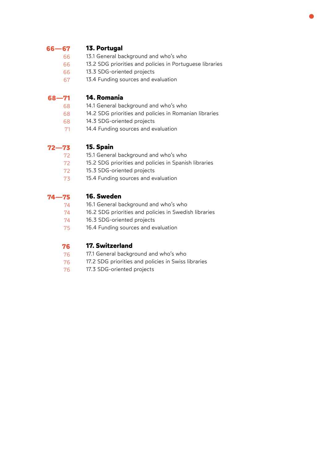### **[13. Portugal](#page-65-0) [66—67](#page-65-0)**

- [13.1 General background and who's who](#page-65-0) [66](#page-65-0)
- [13.2 SDG priorities and policies in Portuguese libraries](#page-65-0) [66](#page-65-0)
- [13.3 SDG-oriented projects](#page-65-0) [66](#page-65-0)
- [13.4 Funding sources and evaluation](#page-66-0) [67](#page-66-0)

### **[14. Romania](#page-67-0) [68—71](#page-67-0)**

- [14.1 General background and who's who](#page-67-0) [68](#page-67-0)
- [14.2 SDG priorities and policies in Romanian libraries](#page-67-0) [68](#page-67-0)
- [14.3 SDG-oriented projects](#page-67-0) [68](#page-67-0)
- [14.4 Funding sources and evaluation](#page-70-0) [71](#page-70-0)

### **[15. Spain](#page-71-0) [72—73](#page-71-0)**

- [15.1 General background and who's who](#page-71-0) [72](#page-71-0)
- [15.2 SDG priorities and policies in Spanish libraries](#page-71-0) [72](#page-71-0)
- [15.3 SDG-oriented projects](#page-71-0) [72](#page-71-0)
- [15.4 Funding sources and evaluation](#page-72-0) [73](#page-72-0)

### **[16. Sweden](#page-73-0) [74—75](#page-73-0)**

- [16.1 General background and who's who](#page-73-0) [74](#page-73-0)
- [16.2 SDG priorities and policies in Swedish libraries](#page-73-0) [74](#page-73-0)
- [16.3 SDG-oriented projects](#page-73-0) [74](#page-73-0)
- [16.4 Funding sources and evaluation](#page-74-0) [75](#page-74-0)

### **[17. Switzerland](#page-75-0) [76](#page-75-0)**

- [17.1 General background and who's who](#page-75-0) [76](#page-75-0)
- [17.2 SDG priorities and policies in Swiss libraries](#page-75-0) [76](#page-75-0)
- [17.3 SDG-oriented projects](#page-75-0) [76](#page-75-0)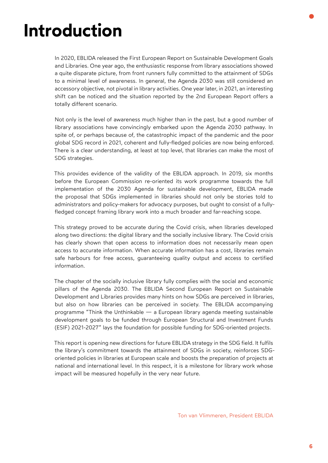# <span id="page-5-0"></span>**Introduction**

In 2020, EBLIDA released the [First European Report on Sustainable Development Goals](http://www.eblida.org/Documents/EBLIDA-Report-SDGs-and-their-implementation-in-European-libraries.pdf)  and Libraries. One year ago, the enthusiastic response from library associations showed a quite disparate picture, from front runners fully committed to the attainment of SDGs to a minimal level of awareness. In general, the Agenda 2030 was still considered an accessory objective, not pivotal in library activities. One year later, in 2021, an interesting shift can be noticed and the situation reported by the 2nd European Report offers a totally different scenario.

Not only is the level of awareness much higher than in the past, but a good number of library associations have convincingly embarked upon the Agenda 2030 pathway. In spite of, or perhaps because of, the catastrophic impact of the pandemic and the poor global SDG record in 2021, coherent and fully-fledged policies are now being enforced. There is a clear understanding, at least at top level, that libraries can make the most of SDG strategies.

This provides evidence of the validity of the EBLIDA approach. In 2019, six months before the European Commission re-oriented its work programme towards the full implementation of the 2030 Agenda for sustainable development, EBLIDA made the proposal that SDGs implemented in libraries should not only be stories told to administrators and policy-makers for advocacy purposes, but ought to consist of a fullyfledged concept framing library work into a much broader and far-reaching scope.

This strategy proved to be accurate during the Covid crisis, when libraries developed along two directions: the digital library and the socially inclusive library. The Covid crisis has clearly shown that open access to information does not necessarily mean open access to accurate information. When accurate information has a cost, libraries remain safe harbours for free access, guaranteeing quality output and access to certified information.

The chapter of the socially inclusive library fully complies with the social and economic pillars of the Agenda 2030. The EBLIDA Second European Report on Sustainable Development and Libraries provides many hints on how SDGs are perceived in libraries, but also on how libraries can be perceived in society. The EBLIDA accompanying programme "Think the Unthinkable — a European library agenda meeting sustainable developmen[t goals to be funded through European Structural and Investment Funds](http://www.eblida.org/Documents/Think_the_unthinkable_a_post_Covid-19_European_Library_Agenda.pdf)  (ESIF) 2021-2027" lays the foundation for possible funding for SDG-oriented projects.

This report is opening new directions for future EBLIDA strategy in the SDG field. It fulfils the library's commitment towards the attainment of SDGs in society, reinforces SDGoriented policies in libraries at European scale and boosts the preparation of projects at national and international level. In this respect, it is a milestone for library work whose impact will be measured hopefully in the very near future.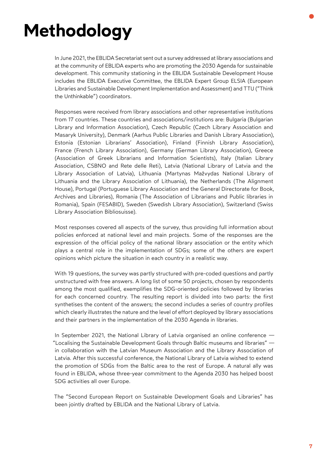# <span id="page-6-0"></span>**Methodology**

In June 2021, the EBLIDA Secretariat sent out a survey addressed at library associations and at the community of EBLIDA experts who are promoting the 2030 Agenda for sustainable development. This community stationing in the [EBLIDA Sustainable Development House](http://www.eblida.org/activities/the-eblida-sdg-european-house.html)  includes the [EBLIDA Executive Committee,](http://www.eblida.org/about-eblida/executive-committee-2021-2024/) the [EBLIDA Expert Group ELSIA](http://www.eblida.org/about-eblida/expert-groups/eu-libraries-sustainable-development-implementation-assessment.html) (European Libraries and Sustainable Development Implementation and Assessment) and TTU ("Think the Unthinkable") coordinators.

Responses were received from library associations and other representative institutions from 17 countries. These countries and associations/institutions are: Bulgaria (Bulgarian Library and Information Association), Czech Republic (Czech Library Association and Masaryk University), Denmark (Aarhus Public Libraries and Danish Library Association), Estonia (Estonian Librarians' Association), Finland (Finnish Library Association), France (French Library Association), Germany (German Library Association), Greece (Association of Greek Librarians and Information Scientists), Italy (Italian Library Association, CSBNO and Rete delle Reti), Latvia (National Library of Latvia and the Library Association of Latvia), Lithuania (Martynas Mažvydas National Library of Lithuania and the Library Association of Lithuania), the Netherlands (The Alignment House), Portugal (Portuguese Library Association and the General Directorate for Book, Archives and Libraries), Romania (The Association of Librarians and Public libraries in Romania), Spain (FESABID), Sweden (Swedish Library Association), Switzerland (Swiss Library Association Bibliosuisse).

Most responses covered all aspects of the survey, thus providing full information about policies enforced at national level and main projects. Some of the responses are the expression of the official policy of the national library association or the entity which plays a central role in the implementation of SDGs; some of the others are expert opinions which picture the situation in each country in a realistic way.

With 19 questions, the survey was partly structured with pre-coded questions and partly unstructured with free answers. A long list of some 50 projects, chosen by respondents among the most qualified, exemplifies the SDG-oriented policies followed by libraries for each concerned country. The resulting report is divided into two parts: the first synthetises the content of the answers; the second includes a series of country profiles which clearly illustrates the nature and the level of effort deployed by library associations and their partners in the implementation of the 2030 Agenda in libraries.

In September 2021, the National Library of Latvia organised an online conference — "[Localising the Sustainable Development Goals through Baltic museums and libraries"](https://baltic-museums-libraries-sdg.lnb.lv/)  $$ in collaboration with the Latvian Museum Association and the Library Association of Latvia. After this successful conference, the National Library of Latvia wished to extend the promotion of SDGs from the Baltic area to the rest of Europe. A natural ally was found in EBLIDA, whose three-year commitment to the Agenda 2030 has helped boost SDG activities all over Europe.

The "Second European Report on Sustainable Development Goals and Libraries" has been jointly drafted by EBLIDA and the National Library of Latvia.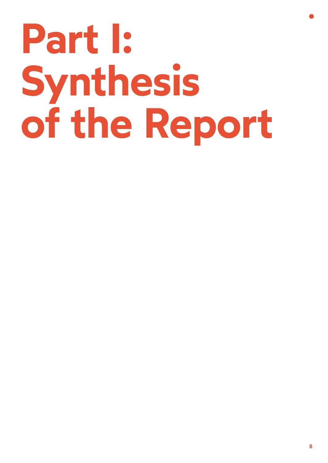# <span id="page-7-0"></span>**Part I: Synthesis of the Report**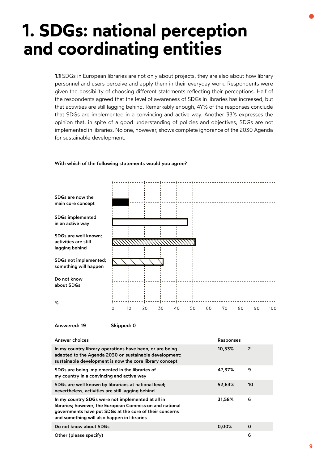# <span id="page-8-0"></span>**1. SDGs: national perception and coordinating entities**

**1.1** SDGs in European libraries are not only about projects, they are also about how library personnel and users perceive and apply them in their everyday work. Respondents were given the possibility of choosing different statements reflecting their perceptions. Half of the respondents agreed that the level of awareness of SDGs in libraries has increased, but that activities are still lagging behind. Remarkably enough, 47% of the responses conclude that SDGs are implemented in a convincing and active way. Another 33% expresses the opinion that, in spite of a good understanding of policies and objectives, SDGs are not implemented in libraries. No one, however, shows complete ignorance of the 2030 Agenda for sustainable development.

### With which of the following statements would you agree?



Answered: 19 Skipped: 0

| Answer choices                                                                                                                                                                                                          | <b>Responses</b> |             |
|-------------------------------------------------------------------------------------------------------------------------------------------------------------------------------------------------------------------------|------------------|-------------|
| In my country library operations have been, or are being<br>adapted to the Agenda 2030 on sustainable development:<br>sustainable development is now the core library concept                                           | 10,53%           | 2           |
| SDGs are being implemented in the libraries of<br>my country in a convincing and active way                                                                                                                             | 47,37%           | 9           |
| SDGs are well known by librarians at national level;<br>nevertheless, activities are still lagging behind                                                                                                               | 52,63%           | 10          |
| In my country SDGs were not implemented at all in<br>libraries; however, the European Commission and national<br>governments have put SDGs at the core of their concerns<br>and something will also happen in libraries | 31,58%           | 6           |
| Do not know about SDGs                                                                                                                                                                                                  | 0,00%            | $\mathbf 0$ |
| Other (please specify)                                                                                                                                                                                                  |                  | 6           |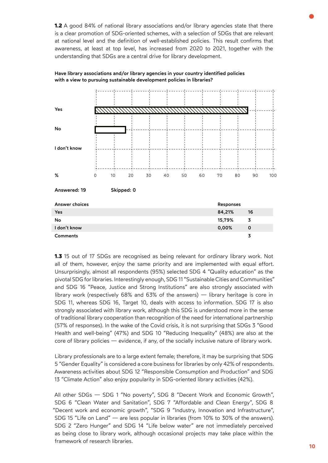**1.2** A good 84% of national library associations and/or library agencies state that there is a clear promotion of SDG-oriented schemes, with a selection of SDGs that are relevant at national level and the definition of well-established policies. This result confirms that awareness, at least at top level, has increased from 2020 to 2021, together with the understanding that SDGs are a central drive for library development.

| Yes             |   |    |            |    |    |    |    |    |           |             |     |
|-----------------|---|----|------------|----|----|----|----|----|-----------|-------------|-----|
|                 |   |    |            |    |    |    |    |    |           |             |     |
| No              |   |    |            |    |    |    |    |    |           |             |     |
| I don't know    |   |    |            |    |    |    |    |    |           |             |     |
|                 |   |    |            |    |    |    |    |    |           |             |     |
|                 |   |    |            |    |    |    |    |    |           |             |     |
| %               | 0 | 10 | 20         | 30 | 40 | 50 | 60 | 70 |           | 80<br>90    | 100 |
| Answered: 19    |   |    | Skipped: 0 |    |    |    |    |    |           |             |     |
| Answer choices  |   |    |            |    |    |    |    |    | Responses |             |     |
| Yes             |   |    |            |    |    |    |    |    | 84,21%    | 16          |     |
| No              |   |    |            |    |    |    |    |    | 15,79%    | 3           |     |
| I don't know    |   |    |            |    |    |    |    |    | 0,00%     | $\mathbf 0$ |     |
| <b>Comments</b> |   |    |            |    |    |    |    |    |           | 3           |     |

Have library associations and/or library agencies in your country identified policies with a view to pursuing sustainable development policies in libraries?

**1.3** 15 out of 17 SDGs are recognised as being relevant for ordinary library work. Not all of them, however, enjoy the same priority and are implemented with equal effort. Unsurprisingly, almost all respondents (95%) selected SDG 4 "Quality education" as the pivotal SDG for libraries. Interestingly enough, SDG 11 "Sustainable Cities and Communities" and SDG 16 "Peace, Justice and Strong Institutions" are also strongly associated with library work (respectively 68% and 63% of the answers) — library heritage is core in SDG 11, whereas SDG 16, Target 10, deals with access to information. SDG 17 is also strongly associated with library work, although this SDG is understood more in the sense of traditional library cooperation than recognition of the need for international partnership (57% of responses). In the wake of the Covid crisis, it is not surprising that SDGs 3 "Good Health and well-being" (47%) and SDG 10 "Reducing Inequality" (48%) are also at the core of library policies — evidence, if any, of the socially inclusive nature of library work.

Library professionals are to a large extent female; therefore, it may be surprising that SDG 5 "Gender Equality" is considered a core business for libraries by only 42% of respondents. Awareness activities about SDG 12 "Responsible Consumption and Production" and SDG 13 "Climate Action" also enjoy popularity in SDG-oriented library activities (42%).

All other SDGs — SDG 1 "No poverty", SDG 8 "Decent Work and Economic Growth", SDG 6 "Clean Water and Sanitation", SDG 7 "Affordable and Clean Energy", SDG 8 "Decent work and economic growth", "SDG 9 "Industry, Innovation and Infrastructure", SDG 15 "Life on Land" — are less popular in libraries (from 10% to 30% of the answers). SDG 2 "Zero Hunger" and SDG 14 "Life below water" are not immediately perceived as being close to library work, although occasional projects may take place within the framework of research libraries.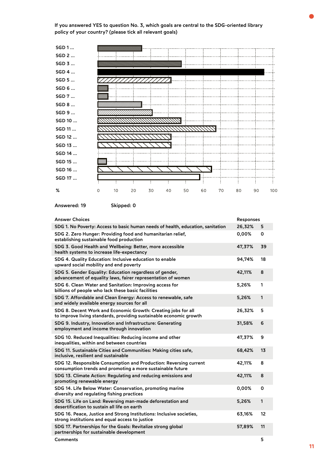If you answered YES to question No. 3, which goals are central to the SDG-oriented library policy of your country? (please tick all relevant goals)



| Answered: 19 |  |  |
|--------------|--|--|
|              |  |  |

Skipped: 0

| <b>Answer Choices</b>                                                                                                               | Responses |    |
|-------------------------------------------------------------------------------------------------------------------------------------|-----------|----|
| SDG 1. No Poverty: Access to basic human needs of health, education, sanitation                                                     | 26,32%    | 5  |
| SDG 2. Zero Hunger: Providing food and humanitarian relief,<br>establishing sustainable food production                             | 0,00%     | 0  |
| SDG 3. Good Health and Wellbeing: Better, more accessible<br>health systems to increase life-expectancy                             | 47,37%    | 39 |
| SDG 4. Quality Education: Inclusive education to enable<br>upward social mobility and end poverty                                   | 94,74%    | 18 |
| SDG 5. Gender Equality: Education regardless of gender,<br>advancement of equality laws, fairer representation of women             | 42,11%    | 8  |
| SDG 6. Clean Water and Sanitation: Improving access for<br>billions of people who lack these basic facilities                       | 5,26%     | 1  |
| SDG 7. Affordable and Clean Energy: Access to renewable, safe<br>and widely available energy sources for all                        | 5,26%     | 1  |
| SDG 8. Decent Work and Economic Growth: Creating jobs for all<br>to improve living standards, providing sustainable economic growth | 26,32%    | 5  |
| SDG 9. Industry, Innovation and Infrastructure: Generating<br>employment and income through innovation                              | 31,58%    | 6  |
| SDG 10. Reduced Inequalities: Reducing income and other<br>inequalities, within and between countries                               | 47,37%    | 9  |
| SDG 11. Sustainable Cities and Communities: Making cities safe,<br>inclusive, resilient and sustainable                             | 68,42%    | 13 |
| SDG 12. Responsible Consumption and Production: Reversing current<br>consumption trends and promoting a more sustainable future     | 42,11%    | 8  |
| SDG 13. Climate Action: Regulating and reducing emissions and<br>promoting renewable energy                                         | 42,11%    | 8  |
| SDG 14. Life Below Water: Conservation, promoting marine<br>diversity and regulating fishing practices                              | 0,00%     | 0  |
| SDG 15. Life on Land: Reversing man-made deforestation and<br>desertification to sustain all life on earth                          | 5,26%     | 1  |
| SDG 16. Peace, Justice and Strong Institutions: Inclusive societies,<br>strong institutions and equal access to justice             | 63,16%    | 12 |
| SDG 17. Partnerships for the Goals: Revitalize strong global<br>partnerships for sustainable development                            | 57,89%    | 11 |
| <b>Comments</b>                                                                                                                     |           | 5  |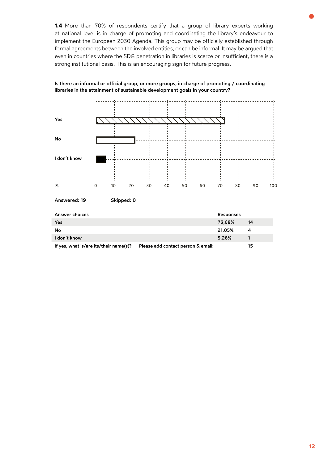**1.4** More than 70% of respondents certify that a group of library experts working at national level is in charge of promoting and coordinating the library's endeavour to implement the European 2030 Agenda. This group may be officially established through formal agreements between the involved entities, or can be informal. It may be argued that even in countries where the SDG penetration in libraries is scarce or insufficient, there is a strong institutional basis. This is an encouraging sign for future progress.



### Is there an informal or official group, or more groups, in charge of promoting / coordinating libraries in the attainment of sustainable development goals in your country?

| Answer choices                                                              | <b>Responses</b> |    |
|-----------------------------------------------------------------------------|------------------|----|
| Yes                                                                         | 73,68%           | 14 |
| No                                                                          | 21.05%           | 4  |
| I don't know                                                                | 5.26%            |    |
| If yes, what is/are its/their name(s)? — Please add contact person & email: |                  | 15 |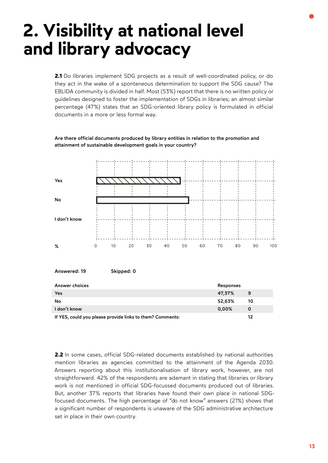# <span id="page-12-0"></span>**2. Visibility at national level and library advocacy**

2.1 Do libraries implement SDG projects as a result of well-coordinated policy, or do they act in the wake of a spontaneous determination to support the SDG cause? The EBLIDA community is divided in half. Most (53%) report that there is no written policy or guidelines designed to foster the implementation of SDGs in libraries; an almost similar percentage (47%) states that an SDG-oriented library policy is formulated in official documents in a more or less formal way.



### Are there official documents produced by library entities in relation to the promotion and attainment of sustainable development goals in your country?

| Answer choices                                            | Responses |    |
|-----------------------------------------------------------|-----------|----|
| Yes                                                       | 47,37%    | 9  |
| No                                                        | 52,63%    | 10 |
| I don't know                                              | 0,00%     | 0  |
| If YES, could you please provide links to them? Comments: |           | 12 |

**2.2** In some cases, official SDG-related documents established by national authorities mention libraries as agencies committed to the attainment of the Agenda 2030. Answers reporting about this institutionalisation of library work, however, are not straightforward. 42% of the respondents are adamant in stating that libraries or library work is not mentioned in official SDG-focussed documents produced out of libraries. But, another 37% reports that libraries have found their own place in national SDGfocused documents. The high percentage of "do not know" answers (21%) shows that a significant number of respondents is unaware of the SDG administrative architecture set in place in their own country.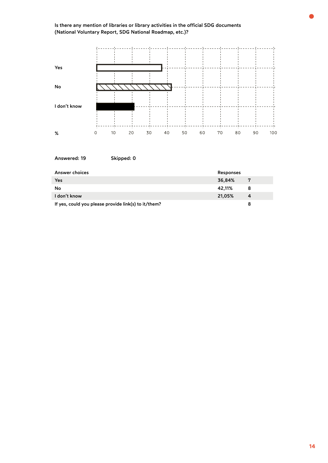

| Answered: 19                                         | Skipped: 0 |           |   |
|------------------------------------------------------|------------|-----------|---|
| Answer choices                                       |            | Responses |   |
| Yes                                                  |            | 36,84%    | 7 |
| No                                                   |            | 42,11%    | 8 |
| I don't know                                         |            | 21,05%    | 4 |
| If yes, could you please provide link(s) to it/them? |            |           | 8 |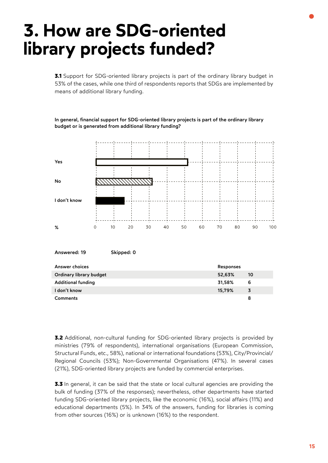# <span id="page-14-0"></span>**3. How are SDG-oriented library projects funded?**

**3.1** Support for SDG-oriented library projects is part of the ordinary library budget in 53% of the cases, while one third of respondents reports that SDGs are implemented by means of additional library funding.

Yes No I don't know  $\Omega$  $10$ 20 30  $40$ 50 60  $70$ 80 90 100 %

In general, financial support for SDG-oriented library projects is part of the ordinary library budget or is generated from additional library funding?

| Answered: 19 | Skipped: 0 |
|--------------|------------|
|              |            |

| Answer choices            | Responses |    |
|---------------------------|-----------|----|
| Ordinary library budget   | 52,63%    | 10 |
| <b>Additional funding</b> | 31,58%    | 6  |
| I don't know              | 15,79%    | 3  |
| <b>Comments</b>           |           | 8  |

**3.2** Additional, non-cultural funding for SDG-oriented library projects is provided by ministries (79% of respondents), international organisations (European Commission, Structural Funds, etc., 58%), national or international foundations (53%), City/Provincial/ Regional Councils (53%); Non-Governmental Organisations (47%). In several cases (21%), SDG-oriented library projects are funded by commercial enterprises.

**3.3** In general, it can be said that the state or local cultural agencies are providing the bulk of funding (37% of the responses); nevertheless, other departments have started funding SDG-oriented library projects, like the economic (16%), social affairs (11%) and educational departments (5%). In 34% of the answers, funding for libraries is coming from other sources (16%) or is unknown (16%) to the respondent.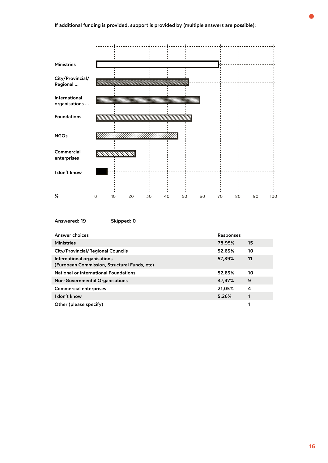

| Answer choices                                                              | <b>Responses</b> |    |
|-----------------------------------------------------------------------------|------------------|----|
| <b>Ministries</b>                                                           | 78,95%           | 15 |
| <b>City/Provincial/Regional Councils</b>                                    | 52,63%           | 10 |
| International organisations<br>(European Commission, Structural Funds, etc) | 57,89%           | 11 |
| National or international Foundations                                       | 52,63%           | 10 |
| <b>Non-Governmental Organisations</b>                                       | 47,37%           | 9  |
| <b>Commercial enterprises</b>                                               | 21,05%           | 4  |
| I don't know                                                                | 5,26%            |    |
| Other (please specify)                                                      |                  |    |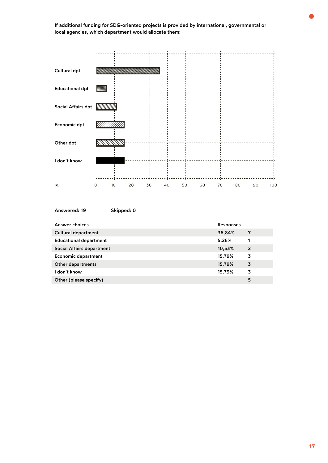If additional funding for SDG-oriented projects is provided by international, governmental or local agencies, which department would allocate them:



| Answered: 19 | Skipped: 0 |  |
|--------------|------------|--|
|              |            |  |

| Answer choices                | Responses |   |
|-------------------------------|-----------|---|
| <b>Cultural department</b>    | 36,84%    | 7 |
| <b>Educational department</b> | 5,26%     |   |
| Social Affairs department     | 10,53%    | 2 |
| <b>Economic department</b>    | 15,79%    | 3 |
| <b>Other departments</b>      | 15,79%    | 3 |
| I don't know                  | 15,79%    | 3 |
| Other (please specify)        |           | 5 |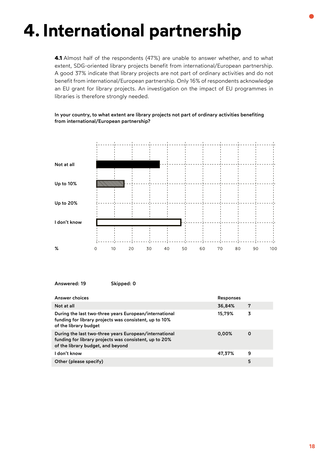# <span id="page-17-0"></span>**4. International partnership**

**4.1** Almost half of the respondents (47%) are unable to answer whether, and to what extent, SDG-oriented library projects benefit from international/European partnership. A good 37% indicate that library projects are not part of ordinary activities and do not benefit from international/European partnership. Only 16% of respondents acknowledge an EU grant for library projects. An investigation on the impact of EU programmes in libraries is therefore strongly needed.

# Not at all Up to 10% Up to 20% I don't know % $\circ$  $10$ 20 30 40 50 60 70 80 90 100

# In your country, to what extent are library projects not part of ordinary activities benefiting from international/European partnership?

| Answer choices                                                                                                                                        | <b>Responses</b> |   |
|-------------------------------------------------------------------------------------------------------------------------------------------------------|------------------|---|
| Not at all                                                                                                                                            | 36,84%           | 7 |
| During the last two-three years European/international<br>funding for library projects was consistent, up to 10%<br>of the library budget             | 15,79%           | 3 |
| During the last two-three years European/international<br>funding for library projects was consistent, up to 20%<br>of the library budget, and beyond | 0,00%            | 0 |
| I don't know                                                                                                                                          | 47,37%           | 9 |
| Other (please specify)                                                                                                                                |                  | 5 |

Answered: 19 Skipped: 0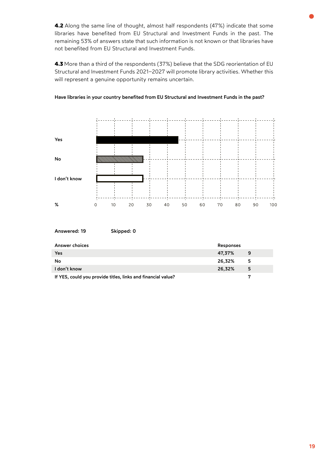**4.2** Along the same line of thought, almost half respondents (47%) indicate that some libraries have benefited from EU Structural and Investment Funds in the past. The remaining 53% of answers state that such information is not known or that libraries have not benefited from EU Structural and Investment Funds.

**4.3** More than a third of the respondents (37%) believe that the SDG reorientation of EU Structural and Investment Funds 2021–2027 will promote library activities. Whether this will represent a genuine opportunity remains uncertain.



Have libraries in your country benefited from EU Structural and Investment Funds in the past?

| Answered: 19 | Skipped: 0 |
|--------------|------------|
|              |            |

| <b>Answer choices</b>                                        | <b>Responses</b> |   |
|--------------------------------------------------------------|------------------|---|
| <b>Yes</b>                                                   | 47,37%           | 9 |
| No                                                           | 26.32%           | 5 |
| I don't know                                                 | 26.32%           | 5 |
| If YES, could you provide titles, links and financial value? |                  |   |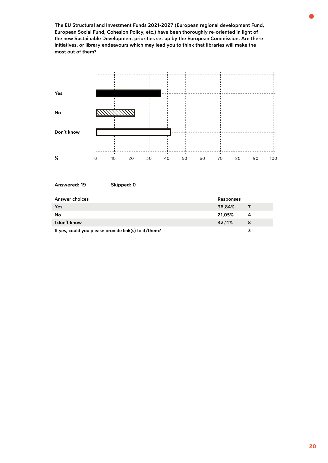The EU Structural and Investment Funds 2021-2027 (European regional development Fund, European Social Fund, Cohesion Policy, etc.) have been thoroughly re-oriented in light of the new Sustainable Development priorities set up by the European Commission. Are there initiatives, or library endeavours which may lead you to think that libraries will make the most out of them?



|  |  |  |  | Answered: 19 |  |  |  |  |
|--|--|--|--|--------------|--|--|--|--|
|--|--|--|--|--------------|--|--|--|--|

Skipped: 0

| Answer choices                                       | Responses |    |
|------------------------------------------------------|-----------|----|
| Yes                                                  | 36.84%    | -7 |
| No                                                   | 21,05%    | 4  |
| I don't know                                         | 42.11%    |    |
| If yes, could you please provide link(s) to it/them? |           |    |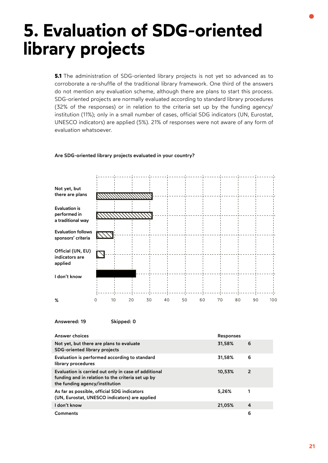# <span id="page-20-0"></span>**5. Evaluation of SDG-oriented library projects**

**5.1** The administration of SDG-oriented library projects is not yet so advanced as to corroborate a re-shuffle of the traditional library framework. One third of the answers do not mention any evaluation scheme, although there are plans to start this process. SDG-oriented projects are normally evaluated according to standard library procedures (32% of the responses) or in relation to the criteria set up by the funding agency/ institution (11%); only in a small number of cases, official SDG indicators (UN, Eurostat, UNESCO indicators) are applied (5%). 21% of responses were not aware of any form of evaluation whatsoever.

## Are SDG-oriented library projects evaluated in your country?



Answered: 19 Skipped: 0

| Answer choices                                                                                                                              | <b>Responses</b> |   |
|---------------------------------------------------------------------------------------------------------------------------------------------|------------------|---|
| Not yet, but there are plans to evaluate<br><b>SDG-oriented library projects</b>                                                            | 31,58%           | 6 |
| Evaluation is performed according to standard<br>library procedures                                                                         | 31,58%           | 6 |
| Evaluation is carried out only in case of additional<br>funding and in relation to the criteria set up by<br>the funding agency/institution | 10,53%           | 2 |
| As far as possible, official SDG indicators<br>(UN, Eurostat, UNESCO indicators) are applied                                                | 5,26%            |   |
| I don't know                                                                                                                                | 21,05%           | 4 |
| <b>Comments</b>                                                                                                                             |                  | 6 |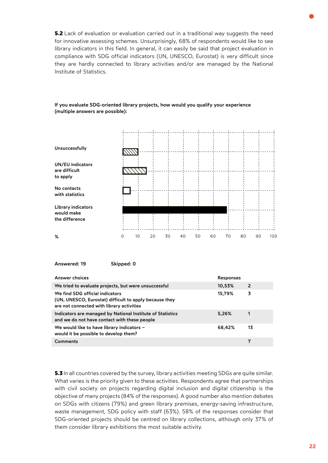**5.2** Lack of evaluation or evaluation carried out in a traditional way suggests the need for innovative assessing schemes. Unsurprisingly, 68% of respondents would like to see library indicators in this field. In general, it can easily be said that project evaluation in compliance with SDG official indicators (UN, UNESCO, Eurostat) is very difficult since they are hardly connected to library activities and/or are managed by the National Institute of Statistics.



# If you evaluate SDG-oriented library projects, how would you qualify your experience (multiple answers are possible):

Answered: 19 Skipped: 0

| Answer choices                                                                                                                         | Responses |    |
|----------------------------------------------------------------------------------------------------------------------------------------|-----------|----|
| We tried to evaluate projects, but were unsuccessful                                                                                   | 10,53%    | -2 |
| We find SDG official indicators<br>(UN, UNESCO, Eurostat) difficult to apply because they<br>are not connected with library activities | 15,79%    | 3  |
| Indicators are managed by National Institute of Statistics<br>and we do not have contact with these people                             | 5,26%     |    |
| We would like to have library indicators -<br>would it be possible to develop them?                                                    | 68,42%    | 13 |
| <b>Comments</b>                                                                                                                        |           | 7  |

**5.3** In all countries covered by the survey, library activities meeting SDGs are quite similar. What varies is the priority given to these activities. Respondents agree that partnerships with civil society on projects regarding digital inclusion and digital citizenship is the objective of many projects (84% of the responses). A good number also mention debates on SDGs with citizens (79%) and green library premises, energy-saving infrastructure, waste management, SDG policy with staff (63%). 58% of the responses consider that SDG-oriented projects should be centred on library collections, although only 37% of them consider library exhibitions the most suitable activity.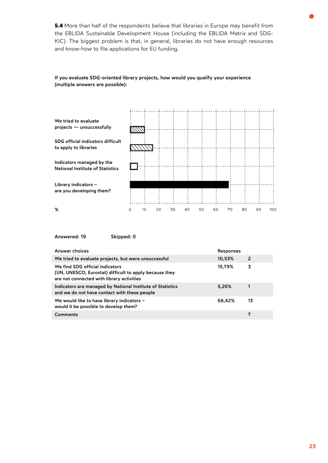**5.4** More than half of the respondents believe that libraries in Europe may benefit from the EBLIDA Sustainable Development House (including the EBLIDA Matrix and SDG-KIC). The biggest problem is that, in general, libraries do not have enough resources and know-how to file applications for EU funding.



# If you evaluate SDG-oriented library projects, how would you qualify your experience (multiple answers are possible):

Answered: 19 Skipped: 0

| Answer choices                                                                                                                         | <b>Responses</b> |    |
|----------------------------------------------------------------------------------------------------------------------------------------|------------------|----|
| We tried to evaluate projects, but were unsuccessful                                                                                   | 10,53%           | 2  |
| We find SDG official indicators<br>(UN, UNESCO, Eurostat) difficult to apply because they<br>are not connected with library activities | 15,79%           | 3  |
| Indicators are managed by National Institute of Statistics<br>and we do not have contact with these people                             | 5,26%            | 1  |
| We would like to have library indicators -<br>would it be possible to develop them?                                                    | 68,42%           | 13 |
| Comments                                                                                                                               |                  | 7  |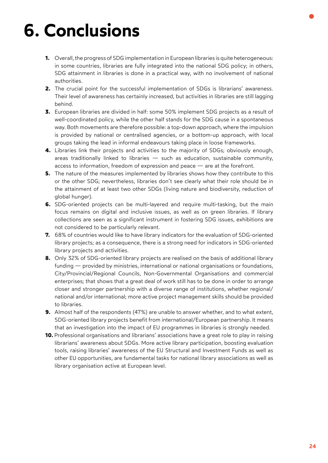# <span id="page-23-0"></span>**6. Conclusions**

- **1.** Overall, the progress of SDG implementation in European libraries is quite heterogeneous: in some countries, libraries are fully integrated into the national SDG policy; in others, SDG attainment in libraries is done in a practical way, with no involvement of national authorities.
- **2.** The crucial point for the successful implementation of SDGs is librarians' awareness. Their level of awareness has certainly increased, but activities in libraries are still lagging behind.
- **3.** European libraries are divided in half: some 50% implement SDG projects as a result of well-coordinated policy, while the other half stands for the SDG cause in a spontaneous way. Both movements are therefore possible: a top-down approach, where the impulsion is provided by national or centralised agencies, or a bottom-up approach, with local groups taking the lead in informal endeavours taking place in loose frameworks.
- **4.** Libraries link their projects and activities to the majority of SDGs; obviously enough, areas traditionally linked to libraries — such as education, sustainable community, access to information, freedom of expression and peace — are at the forefront.
- **5.** The nature of the measures implemented by libraries shows how they contribute to this or the other SDG; nevertheless, libraries don't see clearly what their role should be in the attainment of at least two other SDGs (living nature and biodiversity, reduction of global hunger).
- **6.** SDG-oriented projects can be multi-layered and require multi-tasking, but the main focus remains on digital and inclusive issues, as well as on green libraries. If library collections are seen as a significant instrument in fostering SDG issues, exhibitions are not considered to be particularly relevant.
- **7.** 68% of countries would like to have library indicators for the evaluation of SDG-oriented library projects; as a consequence, there is a strong need for indicators in SDG-oriented library projects and activities.
- **8.** Only 32% of SDG-oriented library projects are realised on the basis of additional library funding — provided by ministries, international or national organisations or foundations, City/Provincial/Regional Councils, Non-Governmental Organisations and commercial enterprises; that shows that a great deal of work still has to be done in order to arrange closer and stronger partnership with a diverse range of institutions, whether regional/ national and/or international; more active project management skills should be provided to libraries.
- **9.** Almost half of the respondents (47%) are unable to answer whether, and to what extent, SDG-oriented library projects benefit from international/European partnership. It means that an investigation into the impact of EU programmes in libraries is strongly needed.
- **10.** Professional organisations and librarians' associations have a great role to play in raising librarians' awareness about SDGs. More active library participation, boosting evaluation tools, raising libraries' awareness of the EU Structural and Investment Funds as well as other EU opportunities, are fundamental tasks for national library associations as well as library organisation active at European level.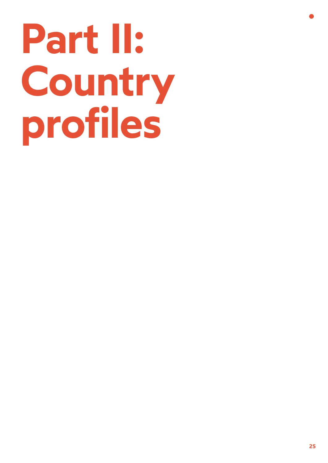# <span id="page-24-0"></span>**Part II: Country profiles**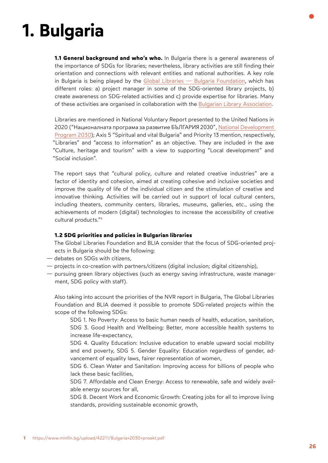# <span id="page-25-0"></span>**1. Bulgaria**

**1.1 General background and who's who.** In Bulgaria there is a general awareness of the importance of SDGs for libraries; nevertheless, library activities are still finding their orientation and connections with relevant entities and national authorities. A key role in Bulgaria is being played by the [Global Libraries — Bulgaria Foundation,](https://www.glbulgaria.bg/en/node/24016) which has different roles: a) project manager in some of the SDG-oriented library projects, b) create awareness on SDG-related activities and c) provide expertise for libraries. Many of these activities are organised in collaboration with the [Bulgarian Library Association](https://www.lib.bg/en/).

Libraries are mentioned in National Voluntary Report presented to the United Nations in 2020 ("Националната програма за развитие БЪЛГАРИЯ 2030", [National Development](https://www.minfin.bg/upload/43546/Bulgaria+2030_EN.pdf)  [Program 2030](https://www.minfin.bg/upload/43546/Bulgaria+2030_EN.pdf)); Axis 5 "Spiritual and vital Bulgaria" and Priority 13 mention, respectively, "Libraries" and "access to information" as an objective. They are included in the axe "Culture, heritage and tourism" with a view to supporting "Local development" and "Social inclusion".

The report says that "cultural policy, culture and related creative industries" are a factor of identity and cohesion, aimed at creating cohesive and inclusive societies and improve the quality of life of the individual citizen and the stimulation of creative and innovative thinking. Activities will be carried out in support of local cultural centers, including theaters, community centers, libraries, museums, galleries, etc., using the achievements of modern (digital) technologies to increase the accessibility of creative [cultural products."](https://www.minfin.bg/upload/42211/Bulgaria+2030+proekt.pdf)**<sup>1</sup>**

# **1.2 SDG priorities and policies in Bulgarian libraries**

The Global Libraries Foundation and BLIA consider that the focus of SDG-oriented projects in Bulgaria should be the following:

- debates on SDGs with citizens,
- projects in co-creation with partners/citizens (digital inclusion; digital citizenship),
- pursuing green library objectives (such as energy saving infrastructure, waste management, SDG policy with staff).

Also taking into account the priorities of the NVR report in Bulgaria, The Global Libraries Foundation and BLIA deemed it possible to promote SDG-related projects within the scope of the following SDGs:

SDG 1. No Poverty: Access to basic human needs of health, education, sanitation, SDG 3. Good Health and Wellbeing: Better, more accessible health systems to increase life-expectancy,

SDG 4. Quality Education: Inclusive education to enable upward social mobility and end poverty, SDG 5. Gender Equality: Education regardless of gender, advancement of equality laws, fairer representation of women,

SDG 6. Clean Water and Sanitation: Improving access for billions of people who lack these basic facilities,

SDG 7. Affordable and Clean Energy: Access to renewable, safe and widely available energy sources for all,

SDG 8. Decent Work and Economic Growth: Creating jobs for all to improve living standards, providing sustainable economic growth,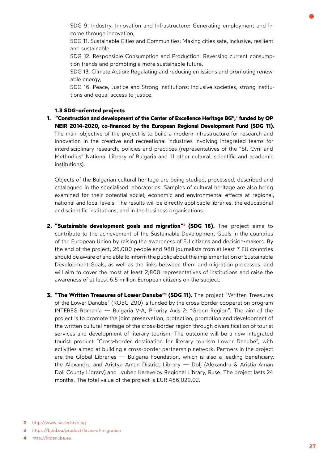<span id="page-26-0"></span>SDG 9. Industry, Innovation and Infrastructure: Generating employment and income through innovation,

SDG 11. Sustainable Cities and Communities: Making cities safe, inclusive, resilient and sustainable,

SDG 12. Responsible Consumption and Production: Reversing current consumption trends and promoting a more sustainable future,

SDG 13. Climate Action: Regulating and reducing emissions and promoting renewable energy,

SDG 16. Peace, Justice and Strong Institutions: Inclusive societies, strong institutions and equal access to justice.

## **1.3 SDG-oriented projects**

**[1. "Construction and development of the Center of Excellence Heritage BG",2](http://www.nasledstvo.bg/) funded by OP NEIR 2014-2020, co-financed by the European Regional Development Fund (SDG 11).**  The main objective of the project is to build a modern infrastructure for research and innovation in the creative and recreational industries involving integrated teams for interdisciplinary research, policies and practices (representatives of the "St. Cyril and Methodius" National Library of Bulgaria and 11 other cultural, scientific and academic institutions).

Objects of the Bulgarian cultural heritage are being studied, processed, described and catalogued in the specialised laboratories. Samples of cultural heritage are also being examined for their potential social, economic and environmental effects at regional, national and local levels. The results will be directly applicable libraries, the educational and scientific institutions, and in the business organisations.

- **[2. "Sustainable development goals and migration"3 \(SDG 16\).](https://bpid.eu/product/faces-of-migration)** The project aims to contribute to the achievement of the Sustainable Development Goals in the countries of the European Union by raising the awareness of EU citizens and decision-makers. By the end of the project, 26,000 people and 980 journalists from at least 7 EU countries should be aware of and able to inform the public about the implementation of Sustainable Development Goals, as well as the links between them and migration processes, and will aim to cover the most at least 2,800 representatives of institutions and raise the awareness of at least 6.5 million European citizens on the subject.
- **3. "The Written Treasures of Lower Danube"<sup>4</sup> (SDG 11).** The project "Written Treasures of the Lower Danube" (ROBG-290) is funded by the cross-border cooperation program INTEREG Romania — Bulgaria V-A, Priority Axis 2: "Green Region". The aim of the project is to promote the joint preservation, protection, promotion and development of the written cultural heritage of the cross-border region through diversification of tourist services and development of literary tourism. The outcome will be a new integrated tourist product "Cross-border destination for literary tourism Lower Danube", with activities aimed at building a cross-border partnership network. Partners in the project are the Global Libraries — Bulgaria Foundation, which is also a leading beneficiary, the Alexandru and Aristya Aman District Library — Dolj (Alexandru & Aristia Aman Dolj County Library) and Lyuben Karavelov Regional Library, Ruse. The project lasts 24 months. The total value of the project is EUR 486,029.02.

**<sup>2</sup>** [http://www.nasledstvo.bg](http://www.nasledstvo.bg/) 

**<sup>3</sup>** <https://bpid.eu/product/faces-of-migration>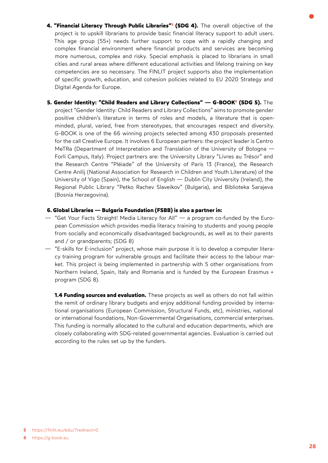- <span id="page-27-0"></span>**4. "Financial Literacy Through Public Libraries"<sup>5</sup> (SDG 4).** The overall objective of the project is to upskill librarians to provide basic financial literacy support to adult users. This age group (55+) needs further support to cope with a rapidly changing and complex financial environment where financial products and services are becoming more numerous, complex and risky. Special emphasis is placed to librarians in small cities and rural areas where different educational activities and lifelong training on key competencies are so necessary. The FINLIT project supports also the implementation of specific growth, education, and cohesion policies related to EU 2020 Strategy and Digital Agenda for Europe.
- **5. Gender Identity: "Child Readers and Library Collections" G-BOOK<sup>6</sup> (SDG 5).** The project "Gender Identity: Child Readers and Library Collections" aims to promote gender positive children's literature in terms of roles and models, a literature that is openminded, plural, varied, free from stereotypes, that encourages respect and diversity. G-BOOK is one of the 66 winning projects selected among 430 proposals presented for the call Creative Europe. It involves 6 European partners: the project leader is Centro MeTRa (Department of Interpretation and Translation of the University of Bologna — Forli Campus, Italy). Project partners are: the University Library "Livres au Trésor" and the Research Centre "Pléiade" of the University of Paris 13 (France), the Research Centre Anilij (National Association for Research in Children and Youth Literature) of the University of Vigo (Spain), the School of English — Dublin City University (Ireland), the Regional Public Library "Petko Rachev Slaveikov" (Bulgaria), and Biblioteka Sarajeva (Bosnia Herzegovina).

### **6. Global Libraries — Bulgaria Foundation (FSBB) is also a partner in:**

- "Get Your Facts Straight! Media Literacy for All" a program co-funded by the European Commission which provides media literacy training to students and young people from socially and economically disadvantaged backgrounds, as well as to their parents and / or grandparents; (SDG 8)
- "E-skills for E-inclusion" project, whose main purpose it is to develop a computer literacy training program for vulnerable groups and facilitate their access to the labour market. This project is being implemented in partnership with 5 other organisations from Northern Ireland, Spain, Italy and Romania and is funded by the European Erasmus + program (SDG 8).

**1.4 Funding sources and evaluation.** These projects as well as others do not fall within the remit of ordinary library budgets and enjoy additional funding provided by international organisations (European Commission, Structural Funds, etc), ministries, national or international foundations, Non-Governmental Organisations, commercial enterprises. This funding is normally allocated to the cultural and education departments, which are closely collaborating with SDG-related governmental agencies. Evaluation is carried out according to the rules set up by the funders.

**<sup>5</sup>** <https://finlit.eu/edu/?redirect=0>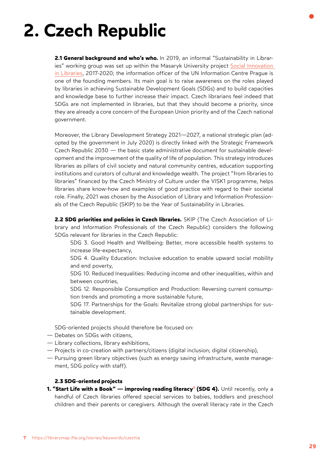# <span id="page-28-0"></span>**2. Czech Republic**

**2.1 General background and who's who.** In 2019, an informal "Sustainability in Libraries" working group was set up within the Masaryk University project [Social Innovation](https://kisk.phil.muni.cz/komunitni-knihovna)  [in Libraries,](https://kisk.phil.muni.cz/komunitni-knihovna) 2017-2020; the information officer of the UN Information Centre Prague is one of the founding members. Its main goal is to raise awareness on the roles played by libraries in achieving Sustainable Development Goals (SDGs) and to build capacities and knowledge base to further increase their impact. Czech librarians feel indeed that SDGs are not implemented in libraries, but that they should become a priority, since they are already a core concern of the European Union priority and of the Czech national government.

Moreover, the [Library Development Strategy 2021—2027,](https://koncepce.knihovna.cz/) a national strategic plan (adopted by the government in July 2020) is directly linked with the Strategic Framework Czech Republic 2030 — the basic state administrative document for sustainable development and the improvement of the quality of life of population. This strategy introduces libraries as pillars of civil society and natural community centres, education supporting institutions and curators of cultural and knowledge wealth. The project "from libraries to libraries" financed by the Czech Ministry of Culture under the VISK1 programme, helps libraries share know-how and examples of good practice with regard to their societal role. Finally, 2021 was chosen by the [Association of Library and Information Profession](https://www.skipcr.cz/)[als of the Czech Republic \(SKIP\)](https://www.skipcr.cz/) to be the Year of Sustainability in Libraries.

**2.2 SDG priorities and policies in Czech libraries.** SKIP (The Czech Association of Library and Information Professionals of the Czech Republic) considers the following SDGs relevant for libraries in the Czech Republic:

- SDG 3. Good Health and Wellbeing: Better, more accessible health systems to increase life-expectancy,
- SDG 4. Quality Education: Inclusive education to enable upward social mobility and end poverty,
- SDG 10. Reduced Inequalities: Reducing income and other inequalities, within and between countries,
- SDG 12. Responsible Consumption and Production: Reversing current consumption trends and promoting a more sustainable future,
- SDG 17. Partnerships for the Goals: Revitalize strong global partnerships for sustainable development.

SDG-oriented projects should therefore be focused on:

- Debates on SDGs with citizens,
- Library collections, library exhibitions,
- Projects in co-creation with partners/citizens (digital inclusion; digital citizenship),
- Pursuing green library objectives (such as energy saving infrastructure, waste management, SDG policy with staff).

### **2.3 SDG-oriented projects**

**1. "Start Life with a Book" — improving reading literacy<sup>7</sup> (SDG 4).** Until recently, only a handful of Czech libraries offered special services to babies, toddlers and preschool children and their parents or caregivers. Although the overall literacy rate in the Czech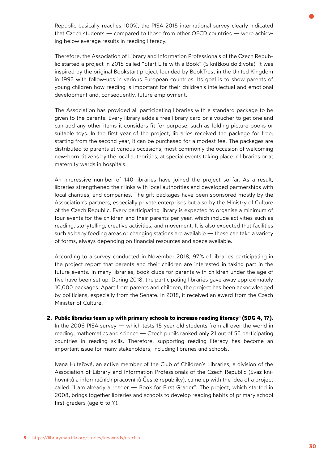Republic basically reaches 100%, the PISA 2015 international survey clearly indicated that Czech students — compared to those from other OECD countries — were achieving below average results in reading literacy.

Therefore, the Association of Library and Information Professionals of the Czech Republic started a project in 2018 called "Start Life with a Book" (S knížkou do života). It was inspired by the original Bookstart project founded by BookTrust in the United Kingdom in 1992 with follow-ups in various European countries. Its goal is to show parents of young children how reading is important for their children's intellectual and emotional development and, consequently, future employment.

The Association has provided all participating libraries with a standard package to be given to the parents. Every library adds a free library card or a voucher to get one and can add any other items it considers fit for purpose, such as folding picture books or suitable toys. In the first year of the project, libraries received the package for free; starting from the second year, it can be purchased for a modest fee. The packages are distributed to parents at various occasions, most commonly the occasion of welcoming new-born citizens by the local authorities, at special events taking place in libraries or at maternity wards in hospitals.

An impressive number of 140 libraries have joined the project so far. As a result, libraries strengthened their links with local authorities and developed partnerships with local charities, and companies. The gift packages have been sponsored mostly by the Association's partners, especially private enterprises but also by the Ministry of Culture of the Czech Republic. Every participating library is expected to organise a minimum of four events for the children and their parents per year, which include activities such as reading, storytelling, creative activities, and movement. It is also expected that facilities such as baby feeding areas or changing stations are available — these can take a variety of forms, always depending on financial resources and space available.

According to a survey conducted in November 2018, 97% of libraries participating in the project report that parents and their children are interested in taking part in the future events. In many libraries, book clubs for parents with children under the age of five have been set up. During 2018, the participating libraries gave away approximately 10,000 packages. Apart from parents and children, the project has been acknowledged by politicians, especially from the Senate. In 2018, it received an award from the Czech Minister of Culture.

2. Public libraries team up with primary schools to increase reading literacy<sup>8</sup> (SDG 4, 17). In the 2006 PISA survey — which tests 15-year-old students from all over the world in reading, mathematics and science — Czech pupils ranked only 21 out of 56 participating countries in reading skills. Therefore, supporting reading literacy has become an important issue for many stakeholders, including libraries and schools.

Ivana Hutařová, an active member of the Club of Children's Libraries, a division of the Association of Library and Information Professionals of the Czech Republic (Svaz knihovníků a informačních pracovníků České republiky), came up with the idea of a project called "I am already a reader — Book for First Grader". The project, which started in 2008, brings together libraries and schools to develop reading habits of primary school first-graders (age 6 to 7).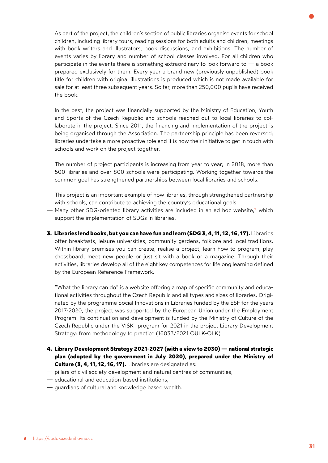As part of the project, the children's section of public libraries organise events for school children, including library tours, reading sessions for both adults and children, meetings with book writers and illustrators, book discussions, and exhibitions. The number of events varies by library and number of school classes involved. For all children who participate in the events there is something extraordinary to look forward to  $-$  a book prepared exclusively for them. Every year a brand new (previously unpublished) book title for children with original illustrations is produced which is not made available for sale for at least three subsequent years. So far, more than 250,000 pupils have received the book.

In the past, the project was financially supported by the Ministry of Education, Youth and Sports of the Czech Republic and schools reached out to local libraries to collaborate in the project. Since 2011, the financing and implementation of the project is being organised through the Association. The partnership principle has been reversed; libraries undertake a more proactive role and it is now their initiative to get in touch with schools and work on the project together.

The number of project participants is increasing from year to year; in 2018, more than 500 libraries and over 800 schools were participating. Working together towards the common goal has strengthened partnerships between local libraries and schools.

This project is an important example of how libraries, through strengthened partnership with schools, can contribute to achieving the country's educational goals.

- [Many other SDG-oriented library activities are included in an ad hoc website,](https://codokaze.knihovna.cz/)**9** which support the implementation of SDGs in libraries.
- **3. Libraries lend books, but you can have fun and learn (SDG 3, 4, 11, 12, 16, 17).** Libraries offer breakfasts, leisure universities, community gardens, folklore and local traditions. Within library premises you can create, realise a project, learn how to program, play chessboard, meet new people or just sit with a book or a magazine. Through their activities, libraries develop all of the eight key competences for lifelong learning defined by the European Reference Framework.

"What the library can do" is a website offering a map of specific community and educational activities throughout the Czech Republic and all types and sizes of libraries. Originated by the programme Social Innovations in Libraries funded by the ESF for the years 2017-2020, the project was supported by the European Union under the Employment Program. Its continuation and development is funded by the Ministry of Culture of the Czech Republic under the VISK1 program for 2021 in the project Library Development Strategy: from methodology to practice (16033/2021 OULK-OLK).

- **4. Library Development Strategy 2021-2027 (with a view to 2030) national strategic plan (adopted by the government in July 2020), prepared under the Ministry of Culture (3, 4, 11, 12, 16, 17).** Libraries are designated as:
- pillars of civil society development and natural centres of communities,
- educational and education-based institutions,
- guardians of cultural and knowledge based wealth.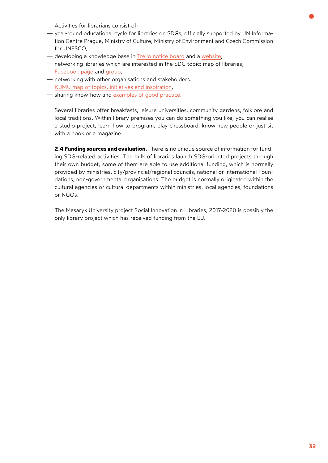Activities for librarians consist of:

- <span id="page-31-0"></span>— year-round educational cycle for libraries on SDGs, officially supported by UN Information Centre Prague, Ministry of Culture, Ministry of Environment and Czech Commission for UNESCO,
- developing a knowledge base in [Trello notice board](https://trello.com/b/eHhIVvM8/udr%C5%BEitelnost-v-knihovn%C3%A1ch) and a [website](https://udrzitelna.knihovna.cz/tema-2021),
- networking libraries which are interested in the SDG topic: map of libraries, [Facebook page](https://udrzitelna.knihovna.cz/tema-2021#h.6v1499xs50az) and [group,](https://udrzitelna.knihovna.cz/tema-2021#h.xi11i1m3yqud)
- networking with other organisations and stakeholders: [KUMU map of topics, initiatives and inspiration,](https://kumu.io/eliska-bartosova/sdgs-v-knihovnach)
- sharing know-how and [examples of good practice](https://codokaze.knihovna.cz/).

Several libraries offer breakfasts, leisure universities, community gardens, folklore and local traditions. Within library premises you can do something you like, you can realise a studio project, learn how to program, play chessboard, know new people or just sit with a book or a magazine.

**2.4 Funding sources and evaluation.** There is no unique source of information for funding SDG-related activities. The bulk of libraries launch SDG-oriented projects through their own budget; some of them are able to use additional funding, which is normally provided by ministries, city/provincial/regional councils, national or international Foundations, non-governmental organisations. The budget is normally originated within the cultural agencies or cultural departments within ministries, local agencies, foundations or NGOs.

The Masaryk University project Social Innovation in Libraries, 2017-2020 is possibly the only library project which has received funding from the EU.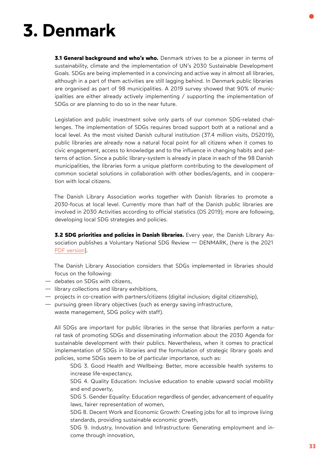# <span id="page-32-0"></span>**3. Denmark**

**3.1 General background and who's who.** Denmark strives to be a pioneer in terms of sustainability, climate and the implementation of UN's 2030 Sustainable Development Goals. SDGs are being implemented in a convincing and active way in almost all libraries, although in a part of them activities are still lagging behind. In Denmark public libraries are organised as part of 98 municipalities. A 2019 survey showed that 90% of municipalities are either already actively implementing / supporting the implementation of SDGs or are planning to do so in the near future.

Legislation and public investment solve only parts of our common SDG-related challenges. The implementation of SDGs requires broad support both at a national and a local level. As the most visited Danish cultural institution (37.4 million visits, DS2019), public libraries are already now a natural focal point for all citizens when it comes to civic engagement, access to knowledge and to the influence in changing habits and patterns of action. Since a public library-system is already in place in each of the 98 Danish municipalities, the libraries form a unique platform contributing to the development of common societal solutions in collaboration with other bodies/agents, and in cooperation with local citizens.

The Danish Library Association works together with Danish libraries to promote a 2030-focus at local level. Currently more than half of the Danish public libraries are involved in 2030 Activities according to official statistics (DS 2019); more are following, developing local SDG strategies and policies.

**3.2 SDG priorities and policies in Danish libraries.** Every year, the Danish Library Association publishes a Voluntary National SDG Review — DENMARK, (here is the 2021 [PDF version](http://www.eblida.org/Activities/KIC/sdg/Voluntary-National-SDG-Review-2021-DENMARK.pdf)].

The Danish Library Association considers that SDGs implemented in libraries should focus on the following:

- debates on SDGs with citizens,
- library collections and library exhibitions,
- projects in co-creation with partners/citizens (digital inclusion; digital citizenship),
- pursuing green library objectives (such as energy saving infrastructure,
	- waste management, SDG policy with staff).

All SDGs are important for public libraries in the sense that libraries perform a natural task of promoting SDGs and disseminating information about the 2030 Agenda for sustainable development with their publics. Nevertheless, when it comes to practical implementation of SDGs in libraries and the formulation of strategic library goals and policies, some SDGs seem to be of particular importance, such as:

SDG 3. Good Health and Wellbeing: Better, more accessible health systems to increase life-expectancy,

SDG 4. Quality Education: Inclusive education to enable upward social mobility and end poverty,

SDG 5. Gender Equality: Education regardless of gender, advancement of equality laws, fairer representation of women,

SDG 8. Decent Work and Economic Growth: Creating jobs for all to improve living standards, providing sustainable economic growth,

SDG 9. Industry, Innovation and Infrastructure: Generating employment and income through innovation,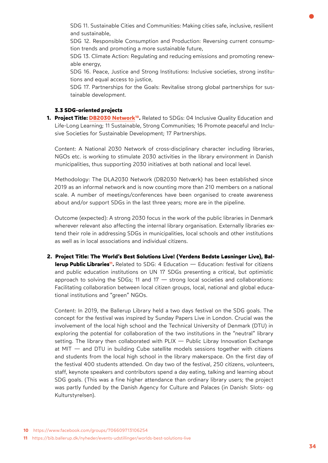<span id="page-33-0"></span>SDG 11. Sustainable Cities and Communities: Making cities safe, inclusive, resilient and sustainable,

SDG 12. Responsible Consumption and Production: Reversing current consumption trends and promoting a more sustainable future,

SDG 13. Climate Action: Regulating and reducing emissions and promoting renewable energy,

SDG 16. Peace, Justice and Strong Institutions: Inclusive societies, strong institutions and equal access to justice,

SDG 17. Partnerships for the Goals: Revitalise strong global partnerships for sustainable development.

# **3.3 SDG-oriented projects**

**1. Project Title: [DB2030 Network](https://www.facebook.com/groups/706609713106254)10.** Related to SDGs: 04 Inclusive Quality Education and Life-Long Learning; 11 Sustainable, Strong Communities; 16 Promote peaceful and Inclusive Societies for Sustainable Development; 17 Partnerships.

Content: A National 2030 Network of cross-disciplinary character including libraries, NGOs etc. is working to stimulate 2030 activities in the library environment in Danish municipalities, thus supporting 2030 initiatives at both national and local level.

Methodology: The DLA2030 Network (DB2030 Netværk) has been established since 2019 as an informal network and is now counting more than 210 members on a national scale. A number of meetings/conferences have been organised to create awareness about and/or support SDGs in the last three years; more are in the pipeline.

Outcome (expected): A strong 2030 focus in the work of the public libraries in Denmark wherever relevant also affecting the internal library organisation. Externally libraries extend their role in addressing SDGs in municipalities, local schools and other institutions as well as in local associations and individual citizens.

**[2. Project Title: The World's Best Solutions Live! \(Verdens Bedste Løsninger Live\), Bal](https://bib.ballerup.dk/nyheder/events-udstillinger/worlds-best-solutions-live)lerup Public Libraries<sup>11</sup>.** Related to SDG: 4 Education — Education: festival for citizens and public education institutions on UN 17 SDGs presenting a critical, but optimistic approach to solving the SDGs; 11 and 17 — strong local societies and collaborations: Facilitating collaboration between local citizen groups, local, national and global educational institutions and "green" NGOs.

Content: In 2019, the Ballerup Library held a two days festival on the SDG goals. The concept for the festival was inspired by Sunday Papers Live in London. Crucial was the involvement of the local high school and the Technical University of Denmark (DTU) in exploring the potential for collaboration of the two institutions in the "neutral" library setting. The library then collaborated with PLIX — Public Libray Innovation Exchange at MIT — and DTU in building Cube satellite models sessions together with citizens and students from the local high school in the library makerspace. On the first day of the festival 400 students attended. On day two of the festival, 250 citizens, volunteers, staff, keynote speakers and contributors spend a day eating, talking and learning about SDG goals. (This was a fine higher attendance than ordinary library users; the project was partly funded by the Danish Agency for Culture and Palaces (in Danish: Slots- og Kulturstyrelsen).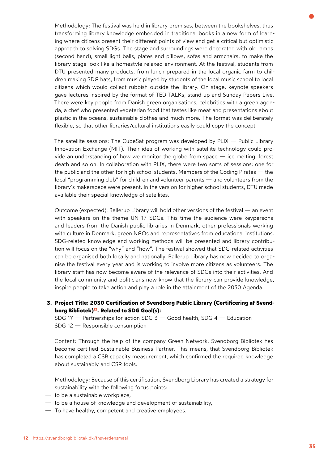Methodology: The festival was held in library premises, between the bookshelves, thus transforming library knowledge embedded in traditional books in a new form of learning where citizens present their different points of view and get a critical but optimistic approach to solving SDGs. The stage and surroundings were decorated with old lamps (second hand), small light balls, plates and pillows, sofas and armchairs, to make the library stage look like a homestyle relaxed environment. At the festival, students from DTU presented many products, from lunch prepared in the local organic farm to children making SDG hats, from music played by students of the local music school to local citizens which would collect rubbish outside the library. On stage, keynote speakers gave lectures inspired by the format of TED TALKs, stand-up and Sunday Papers Live. There were key people from Danish green organisations, celebrities with a green agenda, a chef who presented vegetarian food that tastes like meat and presentations about plastic in the oceans, sustainable clothes and much more. The format was deliberately flexible, so that other libraries/cultural institutions easily could copy the concept.

The satellite sessions: The CubeSat program was developed by PLIX — Public Library Innovation Exchange (MIT). Their idea of working with satellite technology could provide an understanding of how we monitor the globe from space — ice melting, forest death and so on. In collaboration with PLIX, there were two sorts of sessions: one for the public and the other for high school students. Members of the Coding Pirates — the local "programming club" for children and volunteer parents — and volunteers from the library's makerspace were present. In the version for higher school students, DTU made available their special knowledge of satellites.

Outcome (expected): Ballerup Library will hold other versions of the festival — an event with speakers on the theme UN 17 SDGs. This time the audience were keypersons and leaders from the Danish public libraries in Denmark, other professionals working with culture in Denmark, green NGOs and representatives from educational institutions. SDG-related knowledge and working methods will be presented and library contribution will focus on the "why" and "how". The festival showed that SDG-related activities can be organised both locally and nationally. Ballerup Library has now decided to organise the festival every year and is working to involve more citizens as volunteers. The library staff has now become aware of the relevance of SDGs into their activities. And the local community and politicians now know that the library can provide knowledge, inspire people to take action and play a role in the attainment of the 2030 Agenda.

**[3. Project Title: 2030 Certification of Svendborg Public Library \(Certificering af Svend](https://svendborgbibliotek.dk/fnsverdensmaal)borg Bibliotek)12. [Related to SDG Goal\(s\):](https://svendborgbibliotek.dk/fnsverdensmaal)** 

SDG 17 — Partnerships for action SDG 3 — Good health, SDG 4 — Education SDG 12 — Responsible consumption

Content: Through the help of the company Green Network, Svendborg Bibliotek has become certified Sustainable Business Partner. This means, that Svendborg Bibliotek has completed a CSR capacity measurement, which confirmed the required knowledge about sustainably and CSR tools.

Methodology: Because of this certification, Svendborg Library has created a strategy for sustainability with the following focus points:

- to be a sustainable workplace,
- to be a house of knowledge and development of sustainability,
- To have healthy, competent and creative employees.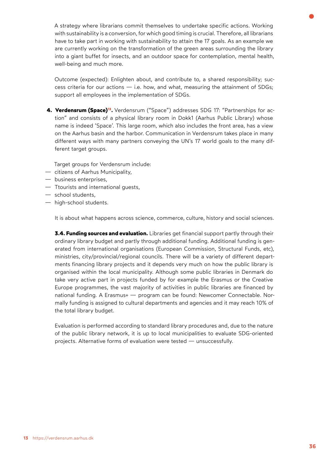<span id="page-35-0"></span>A strategy where librarians commit themselves to undertake specific actions. Working with sustainability is a conversion, for which good timing is crucial. Therefore, all librarians have to take part in working with sustainability to attain the 17 goals. As an example we are currently working on the transformation of the green areas surrounding the library into a giant buffet for insects, and an outdoor space for contemplation, mental health, well-being and much more.

Outcome (expected): Enlighten about, and contribute to, a shared responsibility; success criteria for our actions  $-$  i.e. how, and what, measuring the attainment of SDGs; support all employees in the implementation of SDGs.

**[4. Verdensrum \(Space\)1](https://verdensrum.aarhus.dk/)3.** Verdensrum ("Space") addresses SDG 17: "Partnerships for action" and consists of a physical library room in Dokk1 (Aarhus Public Library) whose name is indeed 'Space'. This large room, which also includes the front area, has a view on the Aarhus basin and the harbor. Communication in Verdensrum takes place in many different ways with many partners conveying the UN's 17 world goals to the many different target groups.

Target groups for Verdensrum include:

- citizens of Aarhus Municipality,
- business enterprises,
- Ttourists and international guests,
- school students,
- high-school students.

It is about what happens across science, commerce, culture, history and social sciences.

**3.4. Funding sources and evaluation.** Libraries get financial support partly through their ordinary library budget and partly through additional funding. Additional funding is generated from international organisations (European Commission, Structural Funds, etc), ministries, city/provincial/regional councils. There will be a variety of different departments financing library projects and it depends very much on how the public library is organised within the local municipality. Although some public libraries in Denmark do take very active part in projects funded by for example the Erasmus or the Creative Europe programmes, the vast majority of activities in public libraries are financed by national funding. A Erasmus+ — program can be found: Newcomer Connectable. Normally funding is assigned to cultural departments and agencies and it may reach 10% of the total library budget.

Evaluation is performed according to standard library procedures and, due to the nature of the public library network, it is up to local municipalities to evaluate SDG-oriented projects. Alternative forms of evaluation were tested — unsuccessfully.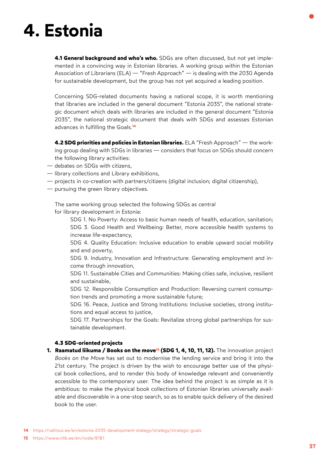### **4. Estonia**

**4.1 General background and who's who.** SDGs are often discussed, but not yet implemented in a convincing way in Estonian libraries. A working group within the Estonian Association of Librarians (ELA) — "Fresh Approach" — is dealing with the 2030 Agenda for sustainable development, but the group has not yet acquired a leading position.

Concerning SDG-related documents having a national scope, it is worth mentioning that libraries are included in the general document "Estonia 2035", the national strategic document which deals with libraries are included in the general document "Estonia 2035", the national strategic document that deals with SDGs and assesses Estonian [advances in fulfilling the Goals.](https://valitsus.ee/en/estonia-2035-development-stategy/strategy/strategic-goals)**<sup>14</sup>**

**4.2 SDG priorities and policies in Estonian libraries.** ELA "Fresh Approach" — the working group dealing with SDGs in libraries — considers that focus on SDGs should concern the following library activities:

- debates on SDGs with citizens,
- library collections and Library exhibitions,
- projects in co-creation with partners/citizens (digital inclusion; digital citizenship),
- pursuing the green library objectives.

The same working group selected the following SDGs as central for library development in Estonia:

SDG 1. No Poverty: Access to basic human needs of health, education, sanitation; SDG 3. Good Health and Wellbeing: Better, more accessible health systems to increase life-expectancy,

SDG 4. Quality Education: Inclusive education to enable upward social mobility and end poverty,

SDG 9. Industry, Innovation and Infrastructure: Generating employment and income through innovation,

SDG 11. Sustainable Cities and Communities: Making cities safe, inclusive, resilient and sustainable,

SDG 12. Responsible Consumption and Production: Reversing current consumption trends and promoting a more sustainable future;

SDG 16. Peace, Justice and Strong Institutions: Inclusive societies, strong institutions and equal access to justice,

SDG 17. Partnerships for the Goals: Revitalize strong global partnerships for sustainable development.

### **4.3 SDG-oriented projects**

**[1. Raamatud liikuma / Books on the move15](https://www.nlib.ee/en/node/8181) (SDG 1, 4, 10, 11, 12).** The innovation project *Books on the Move* has set out to modernise the lending service and bring it into the 21st century. The project is driven by the wish to encourage better use of the physical book collections, and to render this body of knowledge relevant and conveniently accessible to the contemporary user. The idea behind the project is as simple as it is ambitious: to make the physical book collections of Estonian libraries universally available and discoverable in a one-stop search, so as to enable quick delivery of the desired book to the user.

**<sup>14</sup>** <https://valitsus.ee/en/estonia-2035-development-stategy/strategy/strategic-goals>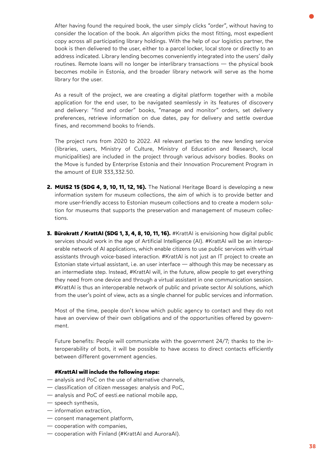After having found the required book, the user simply clicks "order", without having to consider the location of the book. An algorithm picks the most fitting, most expedient copy across all participating library holdings. With the help of our logistics partner, the book is then delivered to the user, either to a parcel locker, local store or directly to an address indicated. Library lending becomes conveniently integrated into the users' daily routines. Remote loans will no longer be interlibrary transactions — the physical book becomes mobile in Estonia, and the broader library network will serve as the home library for the user.

As a result of the project, we are creating a digital platform together with a mobile application for the end user, to be navigated seamlessly in its features of discovery and delivery: "find and order" books, "manage and monitor" orders, set delivery preferences, retrieve information on due dates, pay for delivery and settle overdue fines, and recommend books to friends.

The project runs from 2020 to 2022. All relevant parties to the new lending service (libraries, users, Ministry of Culture, Ministry of Education and Research, local municipalities) are included in the project through various advisory bodies. Books on the Move is funded by Enterprise Estonia and their Innovation Procurement Program in the amount of EUR 333,332.50.

- **2. MUIS2 15 (SDG 4, 9, 10, 11, 12, 16).** The National Heritage Board is developing a new information system for museum collections, the aim of which is to provide better and more user-friendly access to Estonian museum collections and to create a modern solution for museums that supports the preservation and management of museum collections.
- **3. Bürokratt / KrattAI (SDG 1, 3, 4, 8, 10, 11, 16).** #KrattAI is envisioning how digital public services should work in the age of Artificial Intelligence (AI). #KrattAI will be an interoperable network of AI applications, which enable citizens to use public services with virtual assistants through voice-based interaction. #KrattAI is not just an IT project to create an Estonian state virtual assistant, i.e. an user interface — although this may be necessary as an intermediate step. Instead, #KrattAI will, in the future, allow people to get everything they need from one device and through a virtual assistant in one communication session. #KrattAI is thus an interoperable network of public and private sector AI solutions, which from the user's point of view, acts as a single channel for public services and information.

Most of the time, people don't know which public agency to contact and they do not have an overview of their own obligations and of the opportunities offered by government.

Future benefits: People will communicate with the government 24/7; thanks to the interoperability of bots, it will be possible to have access to direct contacts efficiently between different government agencies.

#### **#KrattAI will include the following steps:**

- analysis and PoC on the use of alternative channels,
- classification of citizen messages: analysis and PoC,
- analysis and PoC of eesti.ee national mobile app,
- speech synthesis,
- information extraction,
- consent management platform,
- cooperation with companies,
- cooperation with Finland (#KrattAI and AuroraAI).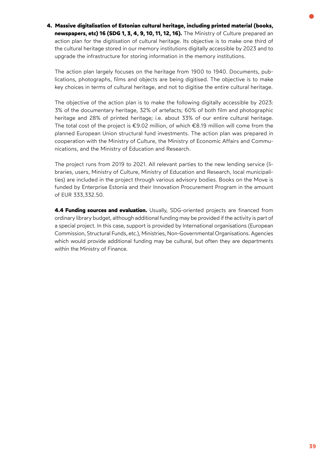**4. Massive digitalisation of Estonian cultural heritage, including printed material (books, newspapers, etc) 16 (SDG 1, 3, 4, 9, 10, 11, 12, 16).** The Ministry of Culture prepared an action plan for the digitisation of cultural heritage. Its objective is to make one third of the cultural heritage stored in our memory institutions digitally accessible by 2023 and to upgrade the infrastructure for storing information in the memory institutions.

The action plan largely focuses on the heritage from 1900 to 1940. Documents, publications, photographs, films and objects are being digitised. The objective is to make key choices in terms of cultural heritage, and not to digitise the entire cultural heritage.

The objective of the action plan is to make the following digitally accessible by 2023: 3% of the documentary heritage, 32% of artefacts; 60% of both film and photographic heritage and 28% of printed heritage; i.e. about 33% of our entire cultural heritage. The total cost of the project is €9.02 million, of which €8.19 million will come from the planned European Union structural fund investments. The action plan was prepared in cooperation with the Ministry of Culture, the Ministry of Economic Affairs and Communications, and the Ministry of Education and Research.

The project runs from 2019 to 2021. All relevant parties to the new lending service (libraries, users, Ministry of Culture, Ministry of Education and Research, local municipalities) are included in the project through various advisory bodies. Books on the Move is funded by Enterprise Estonia and their Innovation Procurement Program in the amount of EUR 333,332.50.

**4.4 Funding sources and evaluation.** Usually, SDG-oriented projects are financed from ordinary library budget, although additional funding may be provided if the activity is part of a special project. In this case, support is provided by International organisations (European Commission, Structural Funds, etc.), Ministries, Non-Governmental Organisations. Agencies which would provide additional funding may be cultural, but often they are departments within the Ministry of Finance.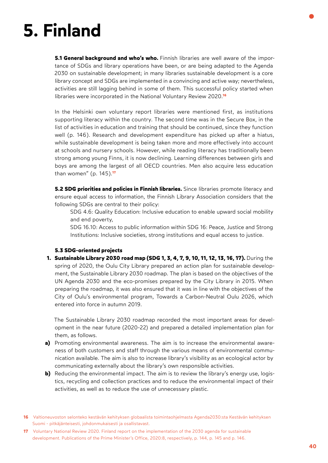### **5. Finland**

**5.1 General background and who's who.** Finnish libraries are well aware of the importance of SDGs and library operations have been, or are being adapted to the Agenda 2030 on sustainable development; in many libraries sustainable development is a core library concept and SDGs are implemented in a convincing and active way; nevertheless, activities are still lagging behind in some of them. This successful policy started when libraries were incorporated in the National Voluntary Review 2020.**<sup>16</sup>**

In the Helsinki own voluntary report libraries were mentioned first, as institutions supporting literacy within the country. The second time was in the Secure Box, in the list of activities in education and training that should be continued, since they function well (p. 146). Research and development expenditure has picked up after a hiatus, while sustainable development is being taken more and more effectively into account at schools and nursery schools. However, while reading literacy has traditionally been strong among young Finns, it is now declining. Learning differences between girls and boys are among the largest of all OECD countries. Men also acquire less education than women" (p. 145).**<sup>17</sup>**

**5.2 SDG priorities and policies in Finnish libraries.** Since libraries promote literacy and ensure equal access to information, the Finnish Library Association considers that the following SDGs are central to their policy:

SDG 4.6: Quality Education: Inclusive education to enable upward social mobility and end poverty,

SDG 16.10: Access to public information within SDG 16: Peace, Justice and Strong Institutions: Inclusive societies, strong institutions and equal access to justice.

### **5.3 SDG-oriented projects**

**1. Sustainable Library 2030 road map (SDG 1, 3, 4, 7, 9, 10, 11, 12, 13, 16, 17).** During the spring of 2020, the Oulu City Library prepared an action plan for sustainable development, the Sustainable Library 2030 roadmap. The plan is based on the objectives of the UN Agenda 2030 and the eco-promises prepared by the City Library in 2015. When preparing the roadmap, it was also ensured that it was in line with the objectives of the City of Oulu's environmental program, Towards a Carbon-Neutral Oulu 2026, which entered into force in autumn 2019.

The Sustainable Library 2030 roadmap recorded the most important areas for development in the near future (2020-22) and prepared a detailed implementation plan for them, as follows.

- **a)** Promoting environmental awareness. The aim is to increase the environmental awareness of both customers and staff through the various means of environmental communication available. The aim is also to increase library's visibility as an ecological actor by communicating externally about the library's own responsible activities.
- **b)** Reducing the environmental impact. The aim is to review the library's energy use, logistics, recycling and collection practices and to reduce the environmental impact of their activities, as well as to reduce the use of unnecessary plastic.
- **16** Valtioneuvoston selonteko kestävän kehityksen globaalista toimintaohjelmasta Agenda2030:sta Kestävän kehityksen Suomi - pitkäjänteisesti, johdonmukaisesti ja osallistavast.
- **17** Voluntary National Review 2020. Finland report on the implementation of the 2030 agenda for sustainable development. Publications of the Prime Minister's Office, 2020:8, respectively, p. 144, p. 145 and p. 146.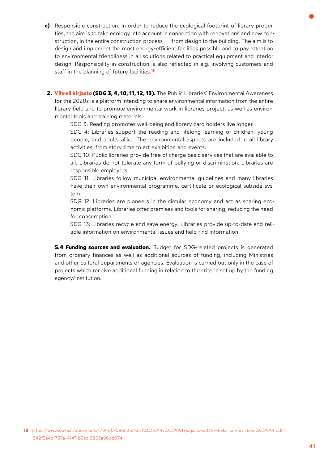- **c)** Responsible construction. In order to reduce the ecological footprint of library properties, the aim is to take ecology into account in connection with renovations and new construction, in the entire construction process — from design to the building. The aim is to design and implement the most energy-efficient facilities possible and to pay attention to environmental friendliness in all solutions related to practical equipment and interior design. Responsibility in construction is also reflected in e.g. involving customers and staff in the planning of future [facilities.](https://www.ouka.fi/documents/78400/596635/Kest%C3%A4v%C3%A4+kirjasto+2030+-tiekartan-tiivistelm%C3%A4.pdf/542f3a4b-737e-4147-b3ad-3865a96dd074)**<sup>18</sup>**
- **2. [Vihreä kirjasto](https://www.kirjastot.fi/vihreakirjasto?language_content_entity=fi) (SDG 3, 4, 10, 11, 12, 13).** The Public Libraries' Environmental Awareness for the 2020s is a platform intending to share environmental information from the entire library field and to promote environmental work in libraries project, as well as environmental tools and training materials.
	- SDG 3: Reading promotes well-being and library card holders live longer.

SDG 4: Libraries support the reading and lifelong learning of children, young people, and adults alike. The environmental aspects are included in all library activities, from story time to art exhibition and events.

SDG 10: Public libraries provide free of charge basic services that are available to all. Libraries do not tolerate any form of bullying or discrimination. Libraries are responsible employers.

SDG 11: Libraries follow municipal environmental guidelines and many libraries have their own environmental programme, certificate or ecological subside system.

SDG 12: Libraries are pioneers in the circular economy and act as sharing economic platforms. Libraries offer premises and tools for sharing, reducing the need for consumption.

SDG 13: Libraries recycle and save energy. Libraries provide up-to-date and reliable information on environmental issues and help find information.

**5.4 Funding sources and evaluation.** Budget for SDG-related projects is generated from ordinary finances as well as additional sources of funding, including Ministries and other cultural departments or agencies. Evaluation is carried out only in the case of projects which receive additional funding in relation to the criteria set up by the funding agency/institution.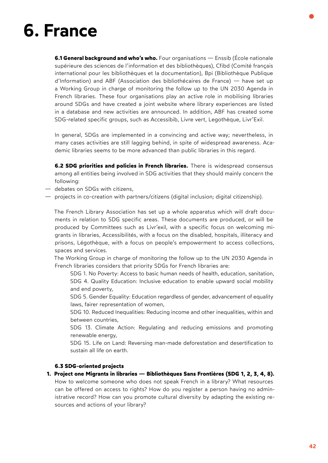### **6. France**

**6.1 General background and who's who.** Four organisations — Enssib (École nationale supérieure des sciences de l'information et des bibliothèques), Cfibd (Comité français international pour les bibliothèques et la documentation), Bpi (Bibliothèque Publique d'Information) and ABF (Association des bibliothécaires de France) — have set up a Working Group in charge of monitoring the follow up to the UN 2030 Agenda in French libraries. These four organisations play an active role in mobilising libraries around SDGs and have created a joint website where library experiences are listed in a database and new activities are announced. In addition, ABF has created some SDG-related specific groups, such as Accessibib, Livre vert, Legothèque, Livr'Exil.

In general, SDGs are implemented in a convincing and active way; nevertheless, in many cases activities are still lagging behind, in spite of widespread awareness. Academic libraries seems to be more advanced than public libraries in this regard.

**6.2 SDG priorities and policies in French libraries.** There is widespread consensus among all entities being involved in SDG activities that they should mainly concern the following:

- debates on SDGs with citizens,
- projects in co-creation with partners/citizens (digital inclusion; digital citizenship).

The French Library Association has set up a whole apparatus which will draft documents in relation to SDG specific areas. These documents are produced, or will be produced by Committees such as Livr'exil, with a specific focus on welcoming migrants in libraries, Accessibilités, with a focus on the disabled, hospitals, illiteracy and prisons, Légothèque, with a focus on people's empowerment to access collections, spaces and services.

The Working Group in charge of monitoring the follow up to the UN 2030 Agenda in French libraries considers that priority SDGs for French libraries are:

SDG 1. No Poverty: Access to basic human needs of health, education, sanitation, SDG 4. Quality Education: Inclusive education to enable upward social mobility and end poverty,

SDG 5. Gender Equality: Education regardless of gender, advancement of equality laws, fairer representation of women,

SDG 10. Reduced Inequalities: Reducing income and other inequalities, within and between countries,

SDG 13. Climate Action: Regulating and reducing emissions and promoting renewable energy,

SDG 15. Life on Land: Reversing man-made deforestation and desertification to sustain all life on earth.

### **6.3 SDG-oriented projects**

**1. Project one Migrants in libraries — Bibliothèques Sans Frontières (SDG 1, 2, 3, 4, 8).**  How to welcome someone who does not speak French in a library? What resources can be offered on access to rights? How do you register a person having no administrative record? How can you promote cultural diversity by adapting the existing resources and actions of your library?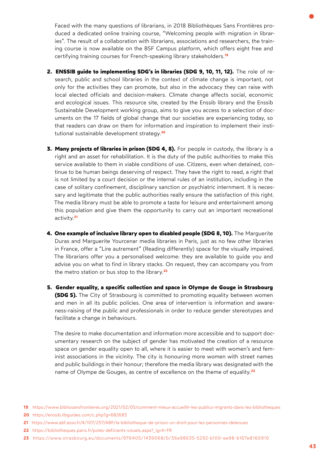Faced with the many questions of librarians, in 2018 Bibliothèques Sans Frontières produced a dedicated online training course, "Welcoming people with migration in libraries". The result of a collaboration with librarians, associations and researchers, the training course is now available on the BSF Campus platform, which offers eight free and certifying training courses for French-speaking library [stakeholders.](https://www.bibliosansfrontieres.org/2021/02/05/comment-mieux-accueillir-les-publics-migrants-dans-les-bibliotheques)**<sup>19</sup>**

- **2. ENSSIB guide to implementing SDG's in libraries (SDG 9, 10, 11, 12).** The role of research, public and school libraries in the context of climate change is important, not only for the activities they can promote, but also in the advocacy they can raise with local elected officials and decision-makers. Climate change affects social, economic and ecological issues. This resource site, created by the Enssib library and the Enssib Sustainable Development working group, aims to give you access to a selection of documents on the 17 fields of global change that our societies are experiencing today, so that readers can draw on them for information and inspiration to implement their institutional sustainable development [strategy.](https://enssib.libguides.com/c.php?g=682683)**<sup>20</sup>**
- **3. Many projects of libraries in prison (SDG 4, 8).** For people in custody, the library is a right and an asset for rehabilitation. It is the duty of the public authorities to make this service available to them in viable conditions of use. Citizens, even when detained, continue to be human beings deserving of respect. They have the right to read, a right that is not limited by a court decision or the internal rules of an institution, including in the case of solitary confinement, disciplinary sanction or psychiatric internment. It is necessary and legitimate that the public authorities really ensure the satisfaction of this right. The media library must be able to promote a taste for leisure and entertainment among this population and give them the opportunity to carry out an important recreational [activity.](https://www.abf.asso.fr/4/107/257/ABF/la-bibliotheque-de-prison-un-droit-pour-les-personnes-detenues)**<sup>21</sup>**
- **4. One example of inclusive library open to disabled people (SDG 8, 10).** The Marguerite Duras and Marguerite Yourcenar media libraries in Paris, just as no few other libraries in France, offer a "Lire autrement" (Reading differently) space for the visually impaired. The librarians offer you a personalised welcome: they are available to guide you and advise you on what to find in library stacks. On request, they can accompany you from the metro station or bus stop to the [library.](https://bibliotheques.paris.fr/poles-deficients-visuels.aspx?_lg=fr-FR)**<sup>22</sup>**
- **5. Gender equality, a specific collection and space in Olympe de Gouge in Strasbourg (SDG 5).** The City of Strasbourg is committed to promoting equality between women and men in all its public policies. One area of intervention is information and awareness-raising of the public and professionals in order to reduce gender stereotypes and facilitate a change in behaviours.

The desire to make documentation and information more accessible and to support documentary research on the subject of gender has motivated the creation of a resource space on gender equality open to all, where it is easier to meet with women's and feminist associations in the vicinity. The city is honouring more women with street names and public buildings in their honour; therefore the media library was designated with the name of Olympe de Gouges, as centre of excellence on the theme o[f equality.](https://www.strasbourg.eu/documents/976405/1439068/0/36e98635-5292-b100-ee98-b167e8160910)**<sup>23</sup>**

**22** [https://bibliotheques.paris.fr/poles-deficients-visuels.aspx?\\_lg=fr-FR](https://bibliotheques.paris.fr/poles-deficients-visuels.aspx?_lg=fr-FR) 

**<sup>19</sup>** https://www.bibliosansfrontieres.org/2021/02/05/comment-mieux-accueillir-les-publics-migrants-dans-les-bibliotheques

**<sup>20</sup>** <https://enssib.libguides.com/c.php?g=682683>

**<sup>21</sup>** <https://www.abf.asso.fr/4/107/257/ABF/la-bibliotheque-de-prison-un-droit-pour-les-personnes-detenues>

**<sup>23</sup>** <https://www.strasbourg.eu/documents/976405/1439068/0/36e98635-5292-b100-ee98-b167e8160910>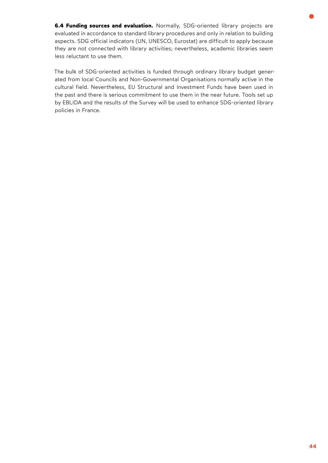**6.4 Funding sources and evaluation.** Normally, SDG-oriented library projects are evaluated in accordance to standard library procedures and only in relation to building aspects. SDG official indicators (UN, UNESCO, Eurostat) are difficult to apply because they are not connected with library activities; nevertheless, academic libraries seem less reluctant to use them.

The bulk of SDG-oriented activities is funded through ordinary library budget generated from local Councils and Non-Governmental Organisations normally active in the cultural field. Nevertheless, EU Structural and Investment Funds have been used in the past and there is serious commitment to use them in the near future. Tools set up by EBLIDA and the results of the Survey will be used to enhance SDG-oriented library policies in France.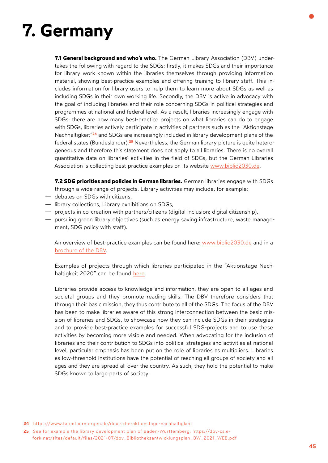# **7. Germany**

**7.1 General background and who's who.** The German Library Association (DBV) undertakes the following with regard to the SDGs: firstly, it makes SDGs and their importance for library work known within the libraries themselves through providing information material, showing best-practice examples and offering training to library staff. This includes information for library users to help them to learn more about SDGs as well as including SDGs in their own working life. Secondly, the DBV is active in advocacy with the goal of including libraries and their role concerning SDGs in political strategies and programmes at national and federal level. As a result, libraries increasingly engage with SDGs: there are now many best-practice projects on what libraries can do to engage with SDGs, libraries actively participate in activities of partners such as the "Aktionstage [Nachhaltigkeit"](https://www.tatenfuermorgen.de/deutsche-aktionstage-nachhaltigkeit/)**24** and SDGs are increasingly included in library development plans of the federal states [\(Bundesländer\).](https://dbv-cs.e-fork.net/sites/default/files/2021-07/dbv_Bibliotheksentwicklungsplan_BW_2021_WEB.pdf)**25** Nevertheless, the German library picture is quite heterogeneous and therefore this statement does not apply to all libraries. There is no overall quantitative data on libraries' activities in the field of SDGs, but the German Libraries Association is collecting best-practice examples on its website [www.biblio2030.de](http://www.biblio2030.de/).

**7.2 SDG priorities and policies in German libraries.** German libraries engage with SDGs through a wide range of projects. Library activities may include, for example:

- debates on SDGs with citizens,
- library collections, Library exhibitions on SDGs,
- projects in co-creation with partners/citizens (digital inclusion; digital citizenship),
- pursuing green library objectives (such as energy saving infrastructure, waste management, SDG policy with staff).

An overview of best-practice examples can be found here: [www.biblio2030.de](http://www.biblio2030.de) and in a [brochure of the DBV](https://dbv-cs.e-fork.net/sites/default/files/2020-12/Bibliotheken%20und%20Nachhaltigkeit.pdf).

Examples of projects through which libraries participated in the "Aktionstage Nachhaltigkeit 2020" can be found [here.](https://bibliotheksportal.de/2020/09/22/zahlreiche-bibliotheksaktionen-bei-den-aktionstagen-nachhaltigkeit)

Libraries provide access to knowledge and information, they are open to all ages and societal groups and they promote reading skills. The DBV therefore considers that through their basic mission, they thus contribute to all of the SDGs. The focus of the DBV has been to make libraries aware of this strong interconnection between the basic mission of libraries and SDGs, to showcase how they can include SDGs in their strategies and to provide best-practice examples for successful SDG-projects and to use these activities by becoming more visible and needed. When advocating for the inclusion of libraries and their contribution to SDGs into political strategies and activities at national level, particular emphasis has been put on the role of libraries as multipliers. Libraries as low-threshold institutions have the potential of reaching all groups of society and all ages and they are spread all over the country. As such, they hold the potential to make SDGs known to large parts of society.

- **24** [https://www.tatenfuermorgen.de/deutsche-aktionstage-nachhaltigkeit](https://www.tatenfuermorgen.de/deutsche-aktionstage-nachhaltigkeit/)
- **25** [See for example the library development plan of Baden-Württemberg: https://dbv-cs.e](https://dbv-cs.e-fork.net/sites/default/files/2021-07/dbv_Bibliotheksentwicklungsplan_BW_2021_WEB.pdf)  [fork.net/sites/default/files/2021-07/dbv\\_Bibliotheksentwicklungsplan\\_BW\\_2021\\_WEB.pdf](https://dbv-cs.e-fork.net/sites/default/files/2021-07/dbv_Bibliotheksentwicklungsplan_BW_2021_WEB.pdf)

**45**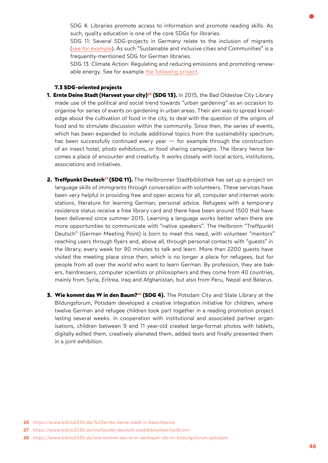SDG 4: Libraries promote access to information and promote reading skills. As such, quality education is one of the core SDGs for libraries.

SDG 11: Several SDG-projects in Germany relate to the inclusion of migrants [\(see for example](https://www.biblio2030.de/treffpunkt-deutsch-stadtbibliothek-heilbronn)). As such "Sustainable and inclusive cities and Communities" is a frequently-mentioned SDG for German libraries.

SDG 13. Climate Action: Regulating and reducing emissions and promoting renewable energy. See for example [the following project.](https://www.biblio2030.de/ ernte-deine-stadt-in-bad-oldesloe)

#### **7.3 SDG-oriented projects**

- **1. Ernte Deine Stadt [\(Harvest your city\)26](https://www.biblio2030.de/ ernte-deine-stadt-in-badoldesloe) (SDG 13).** In 2015, the Bad Oldesloe City Library made use of the political and social trend towards "urban gardening" as an occasion to organise for series of events on gardening in urban areas. Their aim was to spread knowledge about the cultivation of food in the city, to deal with the question of the origins of food and to stimulate discussion within the community. Since then, the series of events, which has been expanded to include additional topics from the sustainability spectrum, has been successfully continued every year  $-$  for example through the construction of an insect hotel, photo exhibitions, or food sharing campaigns. The library hence becomes a place of encounter and creativity. It works closely with local actors, institutions, associations and initiatives.
- 2. Treffpunkt Deutsch<sup>27</sup> (SDG 11). The Heilbronner Stadtbibliothek has set up a project on language skills of immigrants through conversation with volunteers. These services have been very helpful in providing free and open access for all, computer and internet workstations, literature for learning German, personal advice. Refugees with a temporary residence status receive a free library card and there have been around 1500 that have been delivered since summer 2015. Learning a language works better when there are more opportunities to communicate with "native speakers". The Heilbronn "Treffpunkt Deutsch" (German Meeting Point) is born to meet this need, with volunteer "mentors" reaching users through flyers and, above all, through personal contacts with "guests" in the library, every week for 90 minutes to talk and learn. More than 2200 guests have visited the meeting place since then, which is no longer a place for refugees, but for people from all over the world who want to learn German. By profession, they are bakers, hairdressers, computer scientists or philosophers and they come from 40 countries, mainly from Syria, Eritrea, Iraq and Afghanistan, but also from Peru, Nepal and Belarus.
- **3. Wie kommt das W in den Baum?<sup>28</sup> (SDG 4).** The Potsdam City and State Library at the Bildungsforum, Potsdam developed a creative integration initiative for children, where twelve German and refugee children took part together in a reading promotion project lasting several weeks. In cooperation with institutional and associated partner organisations, children between 9 and 11 year-old created large-format photos with tablets, digitally edited them, creatively alienated them, added texts and finally presented them in a joint exhibition.

- **27** <https://www.biblio2030.de/treffpunkt-deutsch-stadtbibliothek-heilbronn>
- **28** <https://www.biblio2030.de/wie-kommt-das-w-in-denbaum-slb-im-bildungsforum-potsdam>

**<sup>26</sup>** [https://www.biblio2030.de/%20ernte-deine-stadt-in-badoldesloe](https://www.biblio2030.de/ ernte-deine-stadt-in-badoldesloe)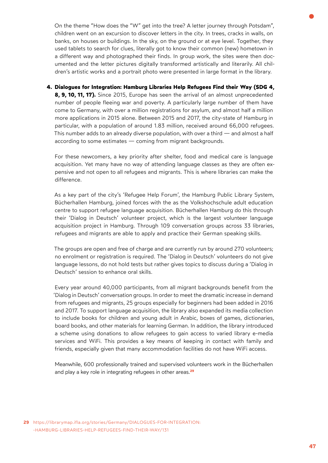On the theme "How does the "W" get into the tree? A letter journey through Potsdam", children went on an excursion to discover letters in the city. In trees, cracks in walls, on banks, on houses or buildings. In the sky, on the ground or at eye level. Together, they used tablets to search for clues, literally got to know their common (new) hometown in a different way and photographed their finds. In group work, the sites were then documented and the letter pictures digitally transformed artistically and literarily. All children's artistic works and a portrait photo were presented in large format in the library.

**4. Dialogues for Integration: Hamburg Libraries Help Refugees Find their Way (SDG 4, 8, 9, 10, 11, 17).** Since 2015, Europe has seen the arrival of an almost unprecedented number of people fleeing war and poverty. A particularly large number of them have come to Germany, with over a million registrations for asylum, and almost half a million more applications in 2015 alone. Between 2015 and 2017, the city-state of Hamburg in particular, with a population of around 1.83 million, received around 66,000 refugees. This number adds to an already diverse population, with over a third — and almost a half according to some estimates — coming from migrant backgrounds.

For these newcomers, a key priority after shelter, food and medical care is language acquisition. Yet many have no way of attending language classes as they are often expensive and not open to all refugees and migrants. This is where libraries can make the difference.

As a key part of the city's 'Refugee Help Forum', the Hamburg Public Library System, Bücherhallen Hamburg, joined forces with the as the Volkshochschule adult education centre to support refugee language acquisition. Bücherhallen Hamburg do this through their 'Dialog in Deutsch' volunteer project, which is the largest volunteer language acquisition project in Hamburg. Through 109 conversation groups across 33 libraries, refugees and migrants are able to apply and practice their German speaking skills.

The groups are open and free of charge and are currently run by around 270 volunteers; no enrolment or registration is required. The 'Dialog in Deutsch' volunteers do not give language lessons, do not hold tests but rather gives topics to discuss during a 'Dialog in Deutsch' session to enhance oral skills.

Every year around 40,000 participants, from all migrant backgrounds benefit from the 'Dialog in Deutsch' conversation groups. In order to meet the dramatic increase in demand from refugees and migrants, 25 groups especially for beginners had been added in 2016 and 2017. To support language acquisition, the library also expanded its media collection to include books for children and young adult in Arabic, boxes of games, dictionaries, board books, and other materials for learning German. In addition, the library introduced a scheme using donations to allow refugees to gain access to varied library e-media services and WiFi. This provides a key means of keeping in contact with family and friends, especially given that many accommodation facilities do not have WiFi access.

Meanwhile, 600 professionally trained and supervised volunteers work in the Bücherhallen and play a key role in integrating refugees in othe[r areas.](https://librarymap.ifla.org/stories/Germany/DIALOGUES-FOR-INTEGRATION:-HAMBURG-LIBRARIES-HELP-REFUGEES-FIND-THEIR-WAY/131)**<sup>29</sup>**

**29** [https://librarymap.ifla.org/stories/Germany/DIALOGUES-FOR-INTEGRATION:](https://librarymap.ifla.org/stories/Germany/DIALOGUES-FOR-INTEGRATION:-HAMBURG-LIBRARIES-HELP-REFUGEES-FIND-THEIR-WAY/131)  [-HAMBURG-LIBRARIES-HELP-REFUGEES-FIND-THEIR-WAY/131](https://librarymap.ifla.org/stories/Germany/DIALOGUES-FOR-INTEGRATION:-HAMBURG-LIBRARIES-HELP-REFUGEES-FIND-THEIR-WAY/131)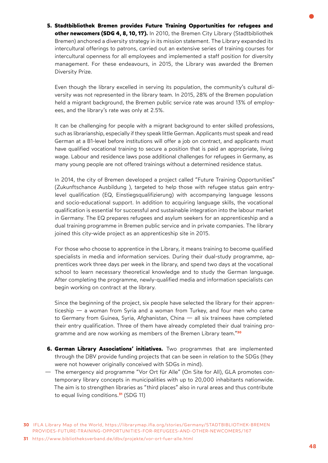**5. Stadtbibliothek Bremen provides Future Training Opportunities for refugees and**  other newcomers (SDG 4, 8, 10, 17). In 2010, the Bremen City Library (Stadtbibliothek Bremen) anchored a diversity strategy in its mission statement. The Library expanded its intercultural offerings to patrons, carried out an extensive series of training courses for intercultural openness for all employees and implemented a staff position for diversity management. For these endeavours, in 2015, the Library was awarded the Bremen Diversity Prize.

Even though the library excelled in serving its population, the community's cultural diversity was not represented in the library team. In 2015, 28% of the Bremen population held a migrant background, the Bremen public service rate was around 13% of employees, and the library's rate was only at 2.5%.

It can be challenging for people with a migrant background to enter skilled professions, such as librarianship, especially if they speak little German. Applicants must speak and read German at a B1-level before institutions will offer a job on contract, and applicants must have qualified vocational training to secure a position that is paid an appropriate, living wage. Labour and residence laws pose additional challenges for refugees in Germany, as many young people are not offered trainings without a determined residence status.

In 2014, the city of Bremen developed a project called "Future Training Opportunities" (Zukunftschance Ausbildung ), targeted to help those with refugee status gain entrylevel qualification (EQ, Einstiegsqualifizierung) with accompanying language lessons and socio-educational support. In addition to acquiring language skills, the vocational qualification is essential for successful and sustainable integration into the labour market in Germany. The EQ prepares refugees and asylum seekers for an apprenticeship and a dual training programme in Bremen public service and in private companies. The library joined this city-wide project as an apprenticeship site in 2015.

For those who choose to apprentice in the Library, it means training to become qualified specialists in media and information services. During their dual-study programme, apprentices work three days per week in the library, and spend two days at the vocational school to learn necessary theoretical knowledge and to study the German language. After completing the programme, newly-qualified media and information specialists can begin working on contract at the library.

Since the beginning of the project, six people have selected the library for their apprenticeship — a woman from Syria and a woman from Turkey, and four men who came to Germany from Guinea, Syria, Afghanistan, China — all six trainees have completed their entry qualification. Three of them have already completed their dual training programme and are now working as members of the Bremen Library [team."](https://librarymap.ifla.org/stories/Germany/STADTBIBLIOTHEK-BREMEN-PROVIDES-FUTURE-TRAINING-OPPORTUNITIES-FOR-REFUGEES-AND-OTHER-NEWCOMERS/167)**<sup>30</sup>**

- **6. German Library Associations' initiatives.** Two programmes that are implemented through the DBV provide funding projects that can be seen in relation to the SDGs (they were not however originally conceived with SDGs in mind).
- The emergency aid programme "Vor Ort für Alle" (On Site for All), GLA promotes contemporary library concepts in municipalities with up to 20,000 inhabitants nationwide. The aim is to strengthen libraries as "third places" also in rural areas and thus contribute [to equal living conditions.](https://www.bibliotheksverband.de/dbv/projekte/vor-ort-fuer-alle.html)**31** (SDG 11)

**<sup>30</sup>** [IFLA Library Map of the World, https://librarymap.ifla.org/stories/Germany/STADTBIBLIOTHEK-BREMEN](https://librarymap.ifla.org/stories/Germany/STADTBIBLIOTHEK-BREMEN-PROVIDES-FUTURE-TRAINING-OPPORTUNITIES-FOR-REFUGEES-AND-OTHER-NEWCOMERS/167)  [PROVIDES-FUTURE-TRAINING-OPPORTUNITIES-FOR-REFUGEES-AND-OTHER-NEWCOMERS/167](https://librarymap.ifla.org/stories/Germany/STADTBIBLIOTHEK-BREMEN-PROVIDES-FUTURE-TRAINING-OPPORTUNITIES-FOR-REFUGEES-AND-OTHER-NEWCOMERS/167) 

**<sup>31</sup>** <https://www.bibliotheksverband.de/dbv/projekte/vor-ort-fuer-alle.html>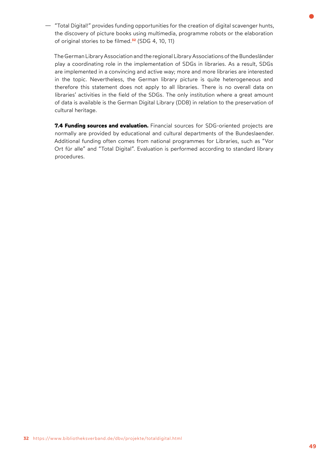— "Total Digital!" provides funding opportunities for the creation of digital scavenger hunts, the discovery of picture books using multimedia, programme robots or the elaboration of original stories [to be filmed.](https://www.bibliotheksverband.de/dbv/projekte/totaldigital.html)**32** (SDG 4, 10, 11)

The German Library Association and the regional Library Associations of the Bundesländer play a coordinating role in the implementation of SDGs in libraries. As a result, SDGs are implemented in a convincing and active way; more and more libraries are interested in the topic. Nevertheless, the German library picture is quite heterogeneous and therefore this statement does not apply to all libraries. There is no overall data on libraries' activities in the field of the SDGs. The only institution where a great amount of data is available is the German Digital Library (DDB) in relation to the preservation of cultural heritage.

**7.4 Funding sources and evaluation.** Financial sources for SDG-oriented projects are normally are provided by educational and cultural departments of the Bundeslaender. Additional funding often comes from national programmes for Libraries, such as "Vor Ort für alle" and "Total Digital". Evaluation is performed according to standard library procedures.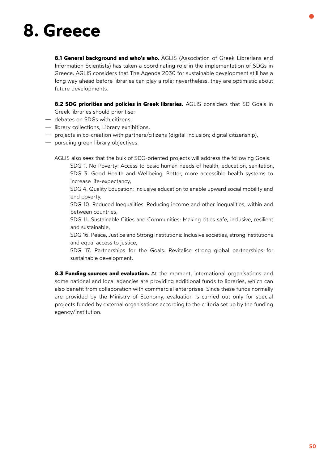## **8. Greece**

**8.1 General background and who's who.** AGLIS (Association of Greek Librarians and Information Scientists) has taken a coordinating role in the implementation of SDGs in Greece. AGLIS considers that The Agenda 2030 for sustainable development still has a long way ahead before libraries can play a role; nevertheless, they are optimistic about future developments.

**8.2 SDG priorities and policies in Greek libraries.** AGLIS considers that SD Goals in Greek libraries should prioritise:

- debates on SDGs with citizens,
- library collections, Library exhibitions,
- projects in co-creation with partners/citizens (digital inclusion; digital citizenship),
- pursuing green library objectives.

AGLIS also sees that the bulk of SDG-oriented projects will address the following Goals: SDG 1. No Poverty: Access to basic human needs of health, education, sanitation, SDG 3. Good Health and Wellbeing: Better, more accessible health systems to increase life-expectancy,

SDG 4. Quality Education: Inclusive education to enable upward social mobility and end poverty,

SDG 10. Reduced Inequalities: Reducing income and other inequalities, within and between countries,

SDG 11. Sustainable Cities and Communities: Making cities safe, inclusive, resilient and sustainable,

SDG 16. Peace, Justice and Strong Institutions: Inclusive societies, strong institutions and equal access to justice,

SDG 17. Partnerships for the Goals: Revitalise strong global partnerships for sustainable development.

**8.3 Funding sources and evaluation.** At the moment, international organisations and some national and local agencies are providing additional funds to libraries, which can also benefit from collaboration with commercial enterprises. Since these funds normally are provided by the Ministry of Economy, evaluation is carried out only for special projects funded by external organisations according to the criteria set up by the funding agency/institution.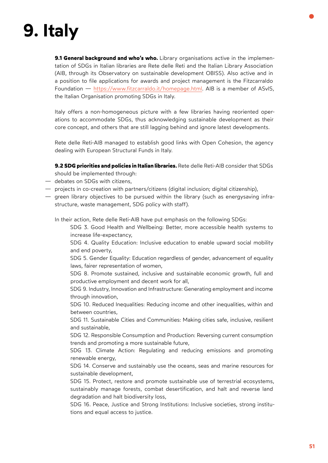# **9. Italy**

**9.1 General background and who's who.** Library organisations active in the implementation of SDGs in Italian libraries are Rete delle Reti and the Italian Library Association (AIB, through its Observatory on sustainable development OBISS). Also active and in a position to file applications for awards and project management is the Fitzcarraldo Foundation — [https://www.fitzcarraldo.it/homepage.html.](https://www.fitzcarraldo.it/homepage.html) AIB is a member of ASvIS, the Italian Organisation promoting SDGs in Italy.

Italy offers a non-homogeneous picture with a few libraries having reoriented operations to accommodate SDGs, thus acknowledging sustainable development as their core concept, and others that are still lagging behind and ignore latest developments.

Rete delle Reti-AIB managed to establish good links with Open Cohesion, the agency dealing with European Structural Funds in Italy.

**9.2 SDG priorities and policies in Italian libraries.** Rete delle Reti-AIB consider that SDGs should be implemented through:

- debates on SDGs with citizens,
- projects in co-creation with partners/citizens (digital inclusion; digital citizenship),
- green library objectives to be pursued within the library (such as energysaving infrastructure, waste management, SDG policy with staff).

In their action, Rete delle Reti-AIB have put emphasis on the following SDGs:

SDG 3. Good Health and Wellbeing: Better, more accessible health systems to increase life-expectancy,

SDG 4. Quality Education: Inclusive education to enable upward social mobility and end poverty,

SDG 5. Gender Equality: Education regardless of gender, advancement of equality laws, fairer representation of women,

SDG 8. Promote sustained, inclusive and sustainable economic growth, full and productive employment and decent work for all,

SDG 9. Industry, Innovation and Infrastructure: Generating employment and income through innovation,

SDG 10. Reduced Inequalities: Reducing income and other inequalities, within and between countries,

SDG 11. Sustainable Cities and Communities: Making cities safe, inclusive, resilient and sustainable,

SDG 12. Responsible Consumption and Production: Reversing current consumption trends and promoting a more sustainable future,

SDG 13. Climate Action: Regulating and reducing emissions and promoting renewable energy,

SDG 14. Conserve and sustainably use the oceans, seas and marine resources for sustainable development,

SDG 15. Protect, restore and promote sustainable use of terrestrial ecosystems, sustainably manage forests, combat desertification, and halt and reverse land degradation and halt biodiversity loss,

SDG 16. Peace, Justice and Strong Institutions: Inclusive societies, strong institutions and equal access to justice.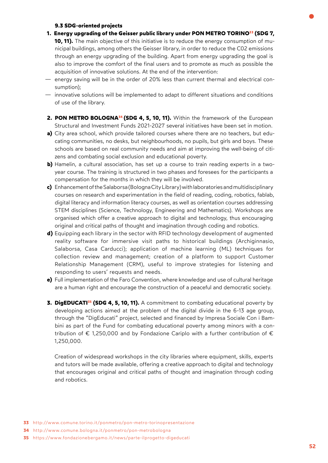#### **9.3 SDG-oriented projects**

- **1. Energy upgrading of the Geisser public library under [PON METRO TORINO33](http://www.comune.torino.it/ponmetro/pon-metro-torinopresentazione) (SDG 7, 10, 11).** The main objective of this initiative is to reduce the energy consumption of municipal buildings, among others the Geisser library, in order to reduce the C02 emissions through an energy upgrading of the building. Apart from energy upgrading the goal is also to improve the comfort of the final users and to promote as much as possible the acquisition of innovative solutions. At the end of the intervention:
- energy saving will be in the order of 20% less than current thermal and electrical consumption);
- innovative solutions will be implemented to adapt to different situations and conditions of use of the library.
- 2. PON METRO BOLOGNA<sup>34</sup> (SDG 4, 5, 10, 11). Within the framework of the European Structural and Investment Funds 2021-2027 several initiatives have been set in motion.
- **a)** City area school, which provide tailored courses where there are no teachers, but educating communities, no desks, but neighbourhoods, no pupils, but girls and boys. These schools are based on real community needs and aim at improving the well-being of citizens and combating social exclusion and educational poverty.
- **b)** Hamelin, a cultural association, has set up a course to train reading experts in a twoyear course. The training is structured in two phases and foresees for the participants a compensation for the months in which they will be involved.
- **c)** Enhancement of the Salaborsa (Bologna City Library) with laboratories and multidisciplinary courses on research and experimentation in the field of reading, coding, robotics, fablab, digital literacy and information literacy courses, as well as orientation courses addressing STEM disciplines (Science, Technology, Engineering and Mathematics). Workshops are organised which offer a creative approach to digital and technology, thus encouraging original and critical paths of thought and imagination through coding and robotics.
- **d)** Equipping each library in the sector with RFID technology development of augmented reality software for immersive visit paths to historical buildings (Archiginnasio, Salaborsa, Casa Carducci); application of machine learning (ML) techniques for collection review and management; creation of a platform to support Customer Relationship Management (CRM), useful to improve strategies for listening and responding to users' requests and needs.
- **e)** Full implementation of the Faro Convention, where knowledge and use of cultural heritage are a human right and encourage the construction of a peaceful and democratic society.
- **3. DigEDUCATI<sup>35</sup>** (SDG 4, 5, 10, 11). A commitment to combating educational poverty by developing actions aimed at the problem of the digital divide in the 6-13 age group, through the "DigEducati" project, selected and financed by Impresa Sociale Con i Bambini as part of the Fund for combating educational poverty among minors with a contribution of  $\epsilon$  1,250,000 and by Fondazione Cariplo with a further contribution of  $\epsilon$ 1,250,000.

Creation of widespread workshops in the city libraries where equipment, skills, experts and tutors will be made available, offering a creative approach to digital and technology that encourages original and critical paths of thought and imagination through coding and robotics.

- **34** <http://www.comune.bologna.it/ponmetro/pon-metrobologna>
- **35** <https://www.fondazionebergamo.it/news/parte-ilprogetto-digeducati>

**<sup>33</sup>** <http://www.comune.torino.it/ponmetro/pon-metro-torinopresentazione>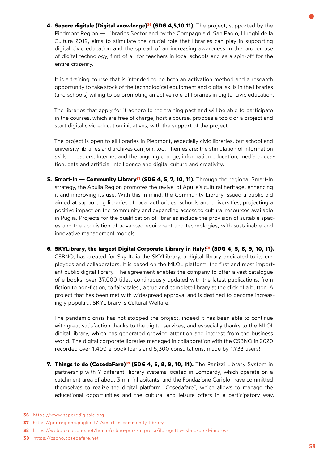**[4. Sapere digitale \(Digital knowledge\)](https://www.saperedigitale.org/)36 (SDG 4,5,10,11).** The project, supported by the Piedmont Region — Libraries Sector and by the Compagnia di San Paolo, I luoghi della Cultura 2019, aims to stimulate the crucial role that libraries can play in supporting digital civic education and the spread of an increasing awareness in the proper use of digital technology, first of all for teachers in local schools and as a spin-off for the entire citizenry.

It is a training course that is intended to be both an activation method and a research opportunity to take stock of the technological equipment and digital skills in the libraries (and schools) willing to be promoting an active role of libraries in digital civic education.

The libraries that apply for it adhere to the training pact and will be able to participate in the courses, which are free of charge, host a course, propose a topic or a project and start digital civic education initiatives, with the support of the project.

The project is open to all libraries in Piedmont, especially civic libraries, but school and university libraries and archives can join, too. Themes are: the stimulation of information skills in readers, Internet and the ongoing change, information education, media education, data and artificial intelligence and digital culture and creativity.

- **5. Smart-In Community Library<sup>37</sup> (SDG 4, 5, 7, 10, 11).** Through the regional Smart-In strategy, the Apulia Region promotes the revival of Apulia's cultural heritage, enhancing it and improving its use. With this in mind, the Community Library issued a public bid aimed at supporting libraries of local authorities, schools and universities, projecting a positive impact on the community and expanding access to cultural resources available in Puglia. Projects for the qualification of libraries include the provision of suitable spaces and the acquisition of advanced equipment and technologies, with sustainable and innovative management models.
- **6. SKYLibrary, the largest Digital [Corporate Library in Italy!](https://webopac.csbno.net/home/csbno-per-l-impresa/ilprogetto-csbno-per-l-impresa)38 (SDG 4, 5, 8, 9, 10, 11).**  CSBNO, has created for Sky Italia the SKYLibrary, a digital library dedicated to its employees and collaborators. It is based on the MLOL platform, the first and most important public digital library. The agreement enables the company to offer a vast catalogue of e-books, over 37,000 titles, continuously updated with the latest publications, from fiction to non-fiction, to fairy tales.; a true and complete library at the click of a button; A project that has been met with widespread approval and is destined to become increasingly popular... SKYLibrary is Cultural Welfare!

The pandemic crisis has not stopped the project, indeed it has been able to continue with great satisfaction thanks to the digital services, and especially thanks to the MLOL digital library, which has generated growing attention and interest from the business world. The digital corporate libraries managed in collaboration with the CSBNO in 2020 recorded over 1,400 e-book loans and 5,300 consultations, made by 1,733 users!

**7. Things to do (CosedaFare)<sup>39</sup> (SDG 4, 5, 8, 9, 10, 11).** The Panizzi Library System in partnership with 7 different library systems located in Lombardy, which operate on a catchment area of about 3 mln inhabitants, and the Fondazione Cariplo, have committed themselves to realize the digital platform "Cosedafare", which allows to manage the educational opportunities and the cultural and leisure offers in a participatory way.

**39** <https://csbno.cosedafare.net>

**<sup>36</sup>** <https://www.saperedigitale.org>

**<sup>37</sup>** <https://por.regione.puglia.it/-/smart-in-community-library>

**<sup>38</sup>** <https://webopac.csbno.net/home/csbno-per-l-impresa/ilprogetto-csbno-per-l-impresa>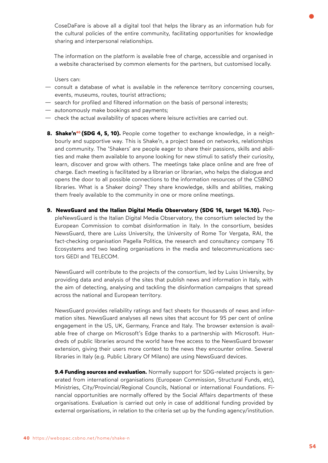CoseDaFare is above all a digital tool that helps the library as an information hub for the cultural policies of the entire community, facilitating opportunities for knowledge sharing and interpersonal relationships.

The information on the platform is available free of charge, accessible and organised in a website characterised by common elements for the partners, but customised locally.

Users can:

- consult a database of what is available in the reference territory concerning courses, events, museums, routes, tourist attractions;
- search for profiled and filtered information on the basis of personal interests;
- autonomously make bookings and payments;
- check the actual availability of spaces where leisure activities are carried out.
- **[8. Shake'n](https://webopac.csbno.net/home/shake-n)40 (SDG 4, 5, 10).** People come together to exchange knowledge, in a neighbourly and supportive way. This is Shake'n, a project based on networks, relationships and community. The 'Shakers' are people eager to share their passions, skills and abilities and make them available to anyone looking for new stimuli to satisfy their curiosity, learn, discover and grow with others. The meetings take place online and are free of charge. Each meeting is facilitated by a librarian or librarian, who helps the dialogue and opens the door to all possible connections to the information resources of the CSBNO libraries. What is a Shaker doing? They share knowledge, skills and abilities, making them freely available to the community in one or more online meetings.
- **9. NewsGuard and the Italian Digital Media Observatory (SDG 16, target 16.10).** PeopleNewsGuard is the Italian Digital Media Observatory, the consortium selected by the European Commission to combat disinformation in Italy. In the consortium, besides NewsGuard, there are Luiss University, the University of Rome Tor Vergata, RAI, the fact-checking organisation Pagella Politica, the research and consultancy company T6 Ecosystems and two leading organisations in the media and telecommunications sectors GEDI and TELECOM.

NewsGuard will contribute to the projects of the consortium, led by Luiss University, by providing data and analysis of the sites that publish news and information in Italy, with the aim of detecting, analysing and tackling the disinformation campaigns that spread across the national and European territory.

NewsGuard provides reliability ratings and fact sheets for thousands of news and information sites. NewsGuard analyses all news sites that account for 95 per cent of online engagement in the US, UK, Germany, France and Italy. The browser extension is available free of charge on Microsoft's Edge thanks to a partnership with Microsoft. Hundreds of public libraries around the world have free access to the NewsGuard browser extension, giving their users more context to the news they encounter online. Several libraries in Italy (e.g. Public Library Of Milano) are using NewsGuard devices.

**9.4 Funding sources and evaluation.** Normally support for SDG-related projects is generated from international organisations (European Commission, Structural Funds, etc), Ministries, City/Provincial/Regional Councils, National or international Foundations. Financial opportunities are normally offered by the Social Affairs departments of these organisations. Evaluation is carried out only in case of additional funding provided by external organisations, in relation to the criteria set up by the funding agency/institution.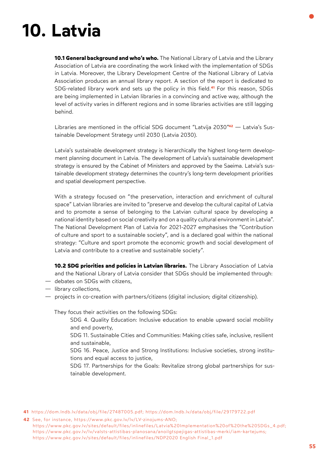# **10. Latvia**

**10.1 General background and who's who.** The National Library of Latvia and the Library Association of Latvia are coordinating the work linked with the implementation of SDGs in Latvia. Moreover, the Library Development Centre of the National Library of Latvia Association produces an annual library report. A section of the report is dedicated to SDG-related library work and sets up the policy in thi[s field.](https://dom.lndb.lv/data/obj/file/29179722.pdf)**41** For this reason, SDGs are being implemented in Latvian libraries in a convincing and active way, although the level of activity varies in different regions and in some libraries activities are still lagging behind.

Libraries are mentioned in the official SDG document ["Latvija 2030"](https://www.pkc.gov.lv/lv/LV-zinojums-ANO)**42** — Latvia's Sustainable Development Strategy until 2030 (Latvia 2030).

Latvia's sustainable development strategy is hierarchically the highest long-term development planning document in Latvia. The development of Latvia's sustainable development strategy is ensured by the Cabinet of Ministers and approved by the Saeima. Latvia's sustainable development strategy determines the country's long-term development priorities and spatial development perspective.

With a strategy focused on "the preservation, interaction and enrichment of cultural space" Latvian libraries are invited to "preserve and develop the cultural capital of Latvia and to promote a sense of belonging to the Latvian cultural space by developing a national identity based on social creativity and on a quality cultural environment in Latvia". The National Development Plan of Latvia for 2021-2027 emphasises the "Contribution of culture and sport to a sustainable society", and is a declared goal within the national strategy: "Culture and sport promote the economic growth and social development of Latvia and contribute to a creative and sustainable society".

**10.2 SDG priorities and policies in Latvian libraries.** The Library Association of Latvia and the National Library of Latvia consider that SDGs should be implemented through:

- debates on SDGs with citizens,
- library collections,
- projects in co-creation with partners/citizens (digital inclusion; digital citizenship).

They focus their activities on the following SDGs:

SDG 4. Quality Education: Inclusive education to enable upward social mobility and end poverty,

SDG 11. Sustainable Cities and Communities: Making cities safe, inclusive, resilient and sustainable,

SDG 16. Peace, Justice and Strong Institutions: Inclusive societies, strong institutions and equal access to justice,

SDG 17. Partnerships for the Goals: Revitalize strong global partnerships for sustainable development.

**41** [https://dom.lndb.lv/data/obj/file/27487005.pdf; https://dom.lndb.lv/data/obj/file/29179722.pdf](https://dom.lndb.lv/data/obj/file/29179722.pdf) 

**42** See, for instance, [https://www.pkc.gov.lv/lv/LV-zinojums-ANO;](https://www.pkc.gov.lv/sites/default/files/inlinefiles/Latvia Implementation of the SDGs_4.pdf)  [https://www.pkc.gov.lv/sites/default/files/inlinefiles/Latvia%20Implementation%20of%20the%20SDGs\\_4.pdf;](https://www.pkc.gov.lv/sites/default/files/inlinefiles/Latvia Implementation of the SDGs_4.pdf)  [https://www.pkc.gov.lv/lv/valsts-attistibas-planosana/anoilgtspejigas-attistibas-merki/iam-kartejums;](https://www.pkc.gov.lv/lv/valsts-attistibas-planosana/anoilgtspejigas-attistibas-merki/iam-kartejums)   [https://www.pkc.gov.lv/sites/default/files/inlinefiles/NDP2020 English Final\\_1.pdf](https://www.pkc.gov.lv/sites/default/files/inlinefiles/NDP2020 English Final___1.pdf)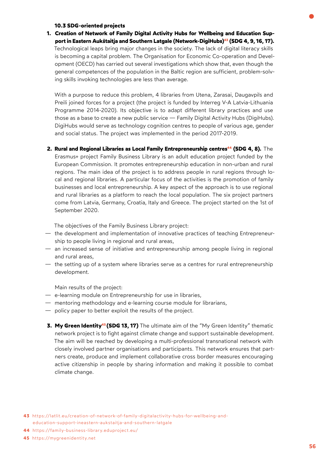#### **10.3 SDG-oriented projects**

**1. Creation of Network of Family Digital Activity Hubs for Wellbeing and Education Support in Eastern Aukštaitja and Southern Latgale [\(Network-DigiHubs\)4](https://latlit.eu/creation-of-network-of-family-digitalactivity-hubs-for-wellbeing-and-education-support-ineastern-aukstaitja-and-southern-latgale)3 (SDG 4, 9, 16, 17).** Technological leaps bring major changes in the society. The lack of digital literacy skills is becoming a capital problem. The Organisation for Economic Co-operation and Development (OECD) has carried out several investigations which show that, even though the general competences of the population in the Baltic region are sufficient, problem-solving skills invoking technologies are less than average.

With a purpose to reduce this problem, 4 libraries from Utena, Zarasai, Daugavpils and Preili joined forces for a project (the project is funded by Interreg V-A Latvia-Lithuania Programme 2014-2020). Its objective is to adapt different library practices and use those as a base to create a new public service — Family Digital Activity Hubs (DigiHubs). DigiHubs would serve as technology cognition centres to people of various age, gender and social status. The project was implemented in the period 2017-2019.

**2. Rural and Regional Libraries as Local Family Entrepreneurship [centres44](https://family-business-library.eduproject.eu/) (SDG 4, 8).** The Erasmus+ project Family Business Library is an adult education project funded by the European Commission. It promotes entrepreneurship education in non-urban and rural regions. The main idea of the project is to address people in rural regions through lo-

cal and regional libraries. A particular focus of the activities is the promotion of family businesses and local entrepreneurship. A key aspect of the approach is to use regional and rural libraries as a platform to reach the local population. The six project partners come from Latvia, Germany, Croatia, Italy and Greece. The project started on the 1st of September 2020.

The objectives of the Family Business Library project:

- the development and implementation of innovative practices of teaching Entrepreneurship to people living in regional and rural areas,
- an increased sense of initiative and entrepreneurship among people living in regional and rural areas,
- the setting up of a system where libraries serve as a centres for rural entrepreneurship development.

Main results of the project:

- e-learning module on Entrepreneurship for use in libraries,
- mentoring methodology and e-learning course module for librarians,
- policy paper to better exploit the results of the project.
- **3. My Green Identity<sup>45</sup> (SDG 13, 17)** The ultimate aim of the "My Green Identity" thematic network project is to fight against climate change and support sustainable development. The aim will be reached by developing a multi-professional transnational network with closely involved partner organisations and participants. This network ensures that partners create, produce and implement collaborative cross border measures encouraging active citizenship in people by sharing information and making it possible to combat climate change.

**<sup>43</sup>** [https://latlit.eu/creation-of-network-of-family-digitalactivity-hubs-for-wellbeing-and](https://latlit.eu/creation-of-network-of-family-digitalactivity-hubs-for-wellbeing-and-education-support-ineastern-aukstaitja-and-southern-latgale)  [education-support-ineastern-aukstaitja-and-southern-latgale](https://latlit.eu/creation-of-network-of-family-digitalactivity-hubs-for-wellbeing-and-education-support-ineastern-aukstaitja-and-southern-latgale) 

**<sup>44</sup>** https://family-business-library.eduproject.eu/

**<sup>45</sup>** [https://mygreenidentity.net](https://mygreenidentity.net/)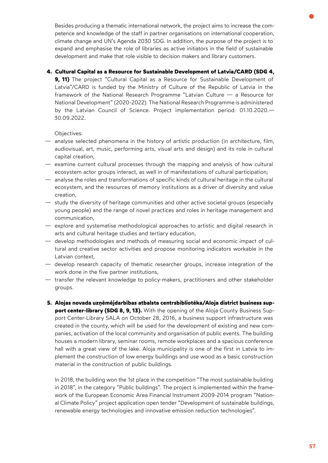Besides producing a thematic international network, the project aims to increase the competence and knowledge of the staff in partner organisations on international cooperation, climate change and UN's Agenda 2030 SDG. In addition, the purpose of the project is to expand and emphasise the role of libraries as active initiators in the field of sustainable development and make that role visible to decision makers and library customers.

### **4. Cultural Capital as a Resource for Sustainable Development of Latvia/CARD (SDG 4,**

**9, 11)** The project "Cultural Capital as a Resource for Sustainable Development of Latvia"/CARD is funded by the Ministry of Culture of the Republic of Latvia in the framework of the National Research Programme "Latvian Culture — a Resource for National Development" (2020-2022). The National Research Programme is administered by the Latvian Council of Science. Project implementation period: 01.10.2020.— 30.09.2022.

Objectives:

- analyse selected phenomena in the history of artistic production (in architecture, film, audiovisual, art, music, performing arts, visual arts and design) and its role in cultural capital creation,
- examine current cultural processes through the mapping and analysis of how cultural ecosystem actor groups interact, as well in of manifestations of cultural participation;
- analyse the roles and transformations of specific kinds of cultural heritage in the cultural ecosystem, and the resources of memory institutions as a driver of diversity and value creation,
- study the diversity of heritage communities and other active societal groups (especially young people) and the range of novel practices and roles in heritage management and communication,
- explore and systematise methodological approaches to artistic and digital research in arts and cultural heritage studies and tertiary education,
- develop methodologies and methods of measuring social and economic impact of cultural and creative sector activities and propose monitoring indicators workable in the Latvian context,
- develop research capacity of thematic researcher groups, increase integration of the work done in the five partner institutions,
- transfer the relevant knowledge to policy-makers, practitioners and other stakeholder groups.
- **5. Alojas novada uzņēmējdarbības atbalsta centrsbibliotēka/Aloja district business support center-library (SDG 8, 9, 13).** With the opening of the Aloja County Business Support Center-Library SALA on October 28, 2016, a business support infrastructure was created in the county, which will be used for the development of existing and new companies, activation of the local community and organisation of public events. The building houses a modern library, seminar rooms, remote workplaces and a spacious conference hall with a great view of the lake. Aloja municipality is one of the first in Latvia to implement the construction of low energy buildings and use wood as a basic construction material in the construction of public buildings.

In 2018, the building won the 1st place in the competition "The most sustainable building in 2018", in the category "Public buildings". The project is implemented within the framework of the European Economic Area Financial Instrument 2009-2014 program "National Climate Policy" project application open tender "Development of sustainable buildings, renewable energy technologies and innovative emission reduction technologies".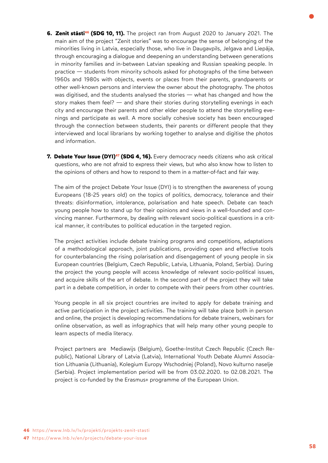- **6. Zenit stāsti<sup>46</sup> (SDG 10, 11).** The project ran from August 2020 to January 2021. The main aim of the project "Zenit stories" was to encourage the sense of belonging of the minorities living in Latvia, especially those, who live in Daugavpils, Jelgava and Liepāja, through encouraging a dialogue and deepening an understanding between generations in minority families and in-between Latvian speaking and Russian speaking people. In practice — students from minority schools asked for photographs of the time between 1960s and 1980s with objects, events or places from their parents, grandparents or other well-known persons and interview the owner about the photography. The photos was digitised, and the students analysed the stories — what has changed and how the story makes them feel? — and share their stories during storytelling evenings in each city and encourage their parents and other elder people to attend the storytelling evenings and participate as well. A more socially cohesive society has been encouraged through the connection between students, their parents or different people that they interviewed and local librarians by working together to analyse and digitise the photos and information.
- **7. Debate Your Issue (DYI)<sup>47</sup> (SDG 4, 16).** Every democracy needs citizens who ask critical questions, who are not afraid to express their views, but who also know how to listen to the opinions of others and how to respond to them in a matter-of-fact and fair way.

The aim of the project Debate Your Issue (DYI) is to strengthen the awareness of young Europeans (18-25 years old) on the topics of politics, democracy, tolerance and their threats: disinformation, intolerance, polarisation and hate speech. Debate can teach young people how to stand up for their opinions and views in a well-founded and convincing manner. Furthermore, by dealing with relevant socio-political questions in a critical manner, it contributes to political education in the targeted region.

The project activities include debate training programs and competitions, adaptations of a methodological approach, joint publications, providing open and effective tools for counterbalancing the rising polarisation and disengagement of young people in six European countries (Belgium, Czech Republic, Latvia, Lithuania, Poland, Serbia). During the project the young people will access knowledge of relevant socio-political issues, and acquire skills of the art of debate. In the second part of the project they will take part in a debate competition, in order to compete with their peers from other countries.

Young people in all six project countries are invited to apply for debate training and active participation in the project activities. The training will take place both in person and online, the project is developing recommendations for debate trainers, webinars for online observation, as well as infographics that will help many other young people to learn aspects of media literacy.

Project partners are Mediawijs (Belgium), Goethe-Institut Czech Republic (Czech Republic), National Library of Latvia (Latvia), International Youth Debate Alumni Association Lithuania (Lithuania), Kolegium Europy Wschodniej (Poland), Novo kulturno naselje (Serbia). Project implementation period will be from 03.02.2020. to 02.08.2021. The project is co-funded by the Erasmus+ programme of the European Union.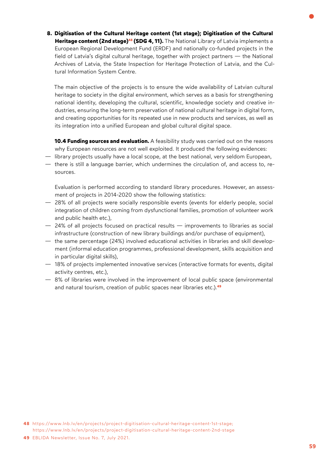**8. Digitisation of the Cultural Heritage content (1st stage); Digitisation of the Cultural [Heritage content \(2nd stage\)](https://www.lnb.lv/en/projects/project-digitisation-cultural-heritage-content-1st-stage)48 (SDG 4, 11).** The National Library of Latvia implements a European Regional Development Fund (ERDF) and nationally co-funded projects in the field of Latvia's digital cultural heritage, together with project partners — the National Archives of Latvia, the State Inspection for Heritage Protection of Latvia, and the Cultural Information System Centre.

The main objective of the projects is to ensure the wide availability of Latvian cultural heritage to society in the digital environment, which serves as a basis for strengthening national identity, developing the cultural, scientific, knowledge society and creative industries, ensuring the long-term preservation of national cultural heritage in digital form, and creating opportunities for its repeated use in new products and services, as well as its integration into a unified European and global cultural digital space.

**10.4 Funding sources and evaluation.** A feasibility study was carried out on the reasons why European resources are not well exploited. It produced the following evidences:

- library projects usually have a local scope, at the best national, very seldom European,
- there is still a language barrier, which undermines the circulation of, and access to, resources.

Evaluation is performed according to standard library procedures. However, an assessment of projects in 2014-2020 show the following statistics:

- 28% of all projects were socially responsible events (events for elderly people, social integration of children coming from dysfunctional families, promotion of volunteer work and public health etc.),
- 24% of all projects focused on practical results improvements to libraries as social infrastructure (construction of new library buildings and/or purchase of equipment),
- the same percentage (24%) involved educational activities in libraries and skill development (informal education programmes, professional development, skills acquisition and in particular digital skills),
- 18% of projects implemented innovative services (interactive formats for events, digital activity centres, etc.),
- 8% of libraries were involved in the improvement of local public space (environmental and natural tourism, creation of public spaces near libraries etc.).**<sup>49</sup>**

**<sup>48</sup>** [https://www.lnb.lv/en/projects/project-digitisation-cultural-heritage-content-1st-stage;](https://www.lnb.lv/en/projects/project-digitisation-cultural-heritage-content-1st-stage)  <https://www.lnb.lv/en/projects/project-digitisation-cultural-heritage-content-2nd-stage>

**<sup>49</sup>** EBLIDA Newsletter, Issue No. 7, July 2021.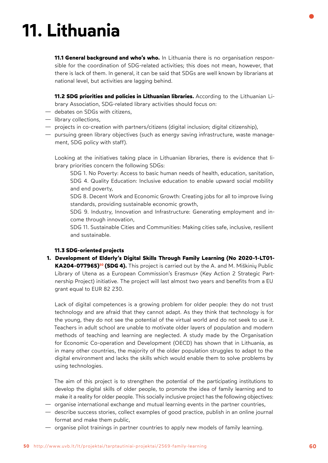# **11. Lithuania**

**11.1 General background and who's who.** In Lithuania there is no organisation responsible for the coordination of SDG-related activities; this does not mean, however, that there is lack of them. In general, it can be said that SDGs are well known by librarians at national level, but activities are lagging behind.

**11.2 SDG priorities and policies in Lithuanian libraries.** According to the Lithuanian Library Association, SDG-related library activities should focus on:

- debates on SDGs with citizens,
- library collections,
- projects in co-creation with partners/citizens (digital inclusion; digital citizenship),
- pursuing green library objectives (such as energy saving infrastructure, waste management, SDG policy with staff).

Looking at the initiatives taking place in Lithuanian libraries, there is evidence that library priorities concern the following SDGs:

SDG 1. No Poverty: Access to basic human needs of health, education, sanitation, SDG 4. Quality Education: Inclusive education to enable upward social mobility and end poverty,

SDG 8. Decent Work and Economic Growth: Creating jobs for all to improve living standards, providing sustainable economic growth,

SDG 9. Industry, Innovation and Infrastructure: Generating employment and income through innovation,

SDG 11. Sustainable Cities and Communities: Making cities safe, inclusive, resilient and sustainable.

#### **11.3 SDG-oriented projects**

**1. Development of Elderly's Digital Skills Through Family Learning (No 2020-1-LT01-** KA204-077965)<sup>50</sup> (SDG 4). This project is carried out by the A. and M. Miškinių Public Library of Utena as a European Commission's Erasmus+ (Key Action 2 Strategic Partnership Project) initiative. The project will last almost two years and benefits from a EU grant equal to EUR 82 230.

Lack of digital competences is a growing problem for older people: they do not trust technology and are afraid that they cannot adapt. As they think that technology is for the young, they do not see the potential of the virtual world and do not seek to use it. Teachers in adult school are unable to motivate older layers of population and modern methods of teaching and learning are neglected. A study made by the Organisation for Economic Co-operation and Development (OECD) has shown that in Lithuania, as in many other countries, the majority of the older population struggles to adapt to the digital environment and lacks the skills which would enable them to solve problems by using technologies.

The aim of this project is to strengthen the potential of the participating institutions to develop the digital skills of older people, to promote the idea of family learning and to make it a reality for older people. This socially inclusive project has the following objectives:

- organise international exchange and mutual learning events in the partner countries,
- describe success stories, collect examples of good practice, publish in an online journal format and make them public,
- organise pilot trainings in partner countries to apply new models of family learning.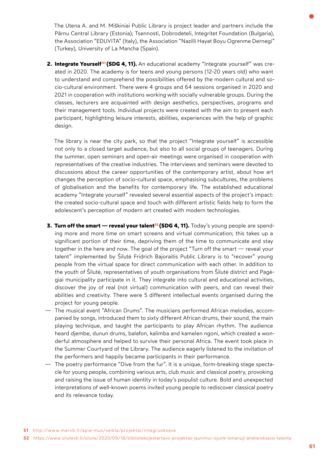The Utena A. and M. Miškiniai Public Library is project leader and partners include the Pärnu Central Library (Estonia); Tsennosti, Dobrodeteli, Integritet Foundation (Bulgaria), the Association "EDUVITA" (Italy), the Association "Nazilli Hayat Boyu Ogrenme Dernegi" (Turkey), University of La Mancha (Spain).

2. Integrate Yourself<sup>51</sup> (SDG 4, 11). An educational academy "Integrate yourself" was created in 2020. The academy is for teens and young persons (12-20 years old) who want to understand and comprehend the possibilities offered by the modern cultural and socio-cultural environment. There were 4 groups and 64 sessions organised in 2020 and 2021 in cooperation with institutions working with socially vulnerable groups. During the classes, lecturers are acquainted with design aesthetics, perspectives, programs and their management tools. Individual projects were created with the aim to present each participant, highlighting leisure interests, abilities, experiences with the help of graphic design.

The library is near the city park, so that the project "Integrate yourself" is accessible not only to a closed target audience, but also to all social groups of teenagers. During the summer, open seminars and open-air meetings were organised in cooperation with representatives of the creative industries. The interviews and seminars were devoted to discussions about the career opportunities of the contemporary artist, about how art changes the perception of socio-cultural space, emphasising subcultures, the problems of globalisation and the benefits for contemporary life. The established educational academy "Integrate yourself" revealed several essential aspects of the project's impact: the created socio-cultural space and touch with different artistic fields help to form the adolescent's perception of modern art created with modern technologies.

- **3. Turn off the smart reveal your talent<sup>52</sup> (SDG 4, 11).** Today's young people are spending more and more time on smart screens and virtual communication; this takes up a significant portion of their time, depriving them of the time to communicate and stay together in the here and now. The goal of the project "Turn off the smart — reveal your talent" implemented by Šilutė Fridrich Bajoraitis Public Library is to "recover" young people from the virtual space for direct communication with each other. In addition to the youth of Šilutė, representatives of youth organisations from Šilutė district and Pagėgiai municipality participate in it. They integrate into cultural and educational activities, discover the joy of real (not virtual) communication with peers, and can reveal their abilities and creativity. There were 5 different intellectual events organised during the project for young people.
- The musical event "African Drums". The musicians performed African melodies, accompanied by songs, introduced them to sixty different African drums, their sound, the main playing technique, and taught the participants to play African rhythm. The audience heard djembe, dunun drums, balafon, kalimba and kamelen ngoni, which created a wonderful atmosphere and helped to survive their personal Africa. The event took place in the Summer Courtyard of the Library. The audience eagerly listened to the invitation of the performers and happily became participants in their performance.
- The poetry performance "Dive from the fur". It is a unique, form-breaking stage spectacle for young people, combining various arts, club music and classical poetry, provoking and raising the issue of human identity in today's populist culture. Bold and unexpected interpretations of well-known poems invited young people to rediscover classical poetry and its relevance today.

**51** <http://www.marvb.lt/apie-mus/veikla/projektai/integruoksave>

**<sup>52</sup>** <https://www.silutevb.lt/silute/2020/09/18/bibliotekojestartavo-projektas-jaunimui-isjunk-ismanuji-atskleisksavo-talenta>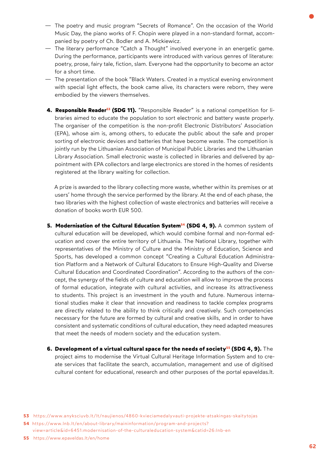- The poetry and music program "Secrets of Romance". On the occasion of the World Music Day, the piano works of F. Chopin were played in a non-standard format, accompanied by poetry of Ch. Bodler and A. Mickiewicz.
- The literary performance "Catch a Thought" involved everyone in an energetic game. During the performance, participants were introduced with various genres of literature: poetry, prose, fairy tale, fiction, slam. Everyone had the opportunity to become an actor for a short time.
- The presentation of the book "Black Waters. Created in a mystical evening environment with special light effects, the book came alive, its characters were reborn, they were embodied by the viewers themselves.
- **[4. Responsible Reader53](https://www.anyksciuvb.lt/lt/naujienos/4860-kvieciamedalyvauti-projekte-atsakingas-skaitytojas) (SDG 11).** "Responsible Reader" is a national competition for libraries aimed to educate the population to sort electronic and battery waste properly. The organiser of the competition is the non-profit Electronic Distributors' Association (EPA), whose aim is, among others, to educate the public about the safe and proper sorting of electronic devices and batteries that have become waste. The competition is jointly run by the Lithuanian Association of Municipal Public Libraries and the Lithuanian Library Association. Small electronic waste is collected in libraries and delivered by appointment with EPA collectors and large electronics are stored in the homes of residents registered at the library waiting for collection.

A prize is awarded to the library collecting more waste, whether within its premises or at users' home through the service performed by the library. At the end of each phase, the two libraries with the highest collection of waste electronics and batteries will receive a donation of books worth EUR 500.

- **5. Modernisation of the Cultural Education System<sup>54</sup> (SDG 4, 9). A common system of** cultural education will be developed, which would combine formal and non-formal education and cover the entire territory of Lithuania. The National Library, together with representatives of the Ministry of Culture and the Ministry of Education, Science and Sports, has developed a common concept "Creating a Cultural Education Administration Platform and a Network of Cultural Educators to Ensure High-Quality and Diverse Cultural Education and Coordinated Coordination". According to the authors of the concept, the synergy of the fields of culture and education will allow to improve the process of formal education, integrate with cultural activities, and increase its attractiveness to students. This project is an investment in the youth and future. Numerous international studies make it clear that innovation and readiness to tackle complex programs are directly related to the ability to think critically and creatively. Such competencies necessary for the future are formed by cultural and creative skills, and in order to have consistent and systematic conditions of cultural education, they need adapted measures that meet the needs of modern society and the education system.
- **6. Development of a virtual cultural space for the [needs of society5](https://www.epaveldas.lt/en/home)5 (SDG 4, 9).** The project aims to modernise the Virtual Cultural Heritage Information System and to create services that facilitate the search, accumulation, management and use of digitised cultural content for educational, research and other purposes of the portal [epaveldas.lt.](epaveldas.lt)

**<sup>53</sup>** <https://www.anyksciuvb.lt/lt/naujienos/4860-kvieciamedalyvauti-projekte-atsakingas-skaitytojas>

**<sup>54</sup>** [https://www.lnb.lt/en/about-library/maininformation/program-and-projects?](https://www.lnb.lt/en/about-library/maininformation/program-and-projects?view=article&id=6451:modernisation-of-the-culturaleducation-system&catid=26:lnb-en)  [view=article&id=6451:modernisation-of-the-culturaleducation-system&catid=26:lnb-en](https://www.lnb.lt/en/about-library/maininformation/program-and-projects?view=article&id=6451:modernisation-of-the-culturaleducation-system&catid=26:lnb-en)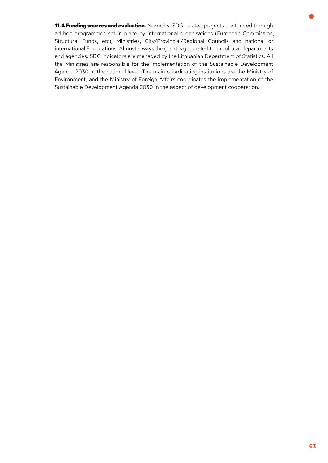**11.4 Funding sources and evaluation.** Normally, SDG-related projects are funded through ad hoc programmes set in place by international organisations (European Commission, Structural Funds, etc), Ministries, City/Provincial/Regional Councils and national or international Foundations. Almost always the grant is generated from cultural departments and agencies. SDG indicators are managed by the Lithuanian Department of Statistics. All the Ministries are responsible for the implementation of the Sustainable Development Agenda 2030 at the national level. The main coordinating institutions are the Ministry of Environment, and the Ministry of Foreign Affairs coordinates the implementation of the Sustainable Development Agenda 2030 in the aspect of development cooperation.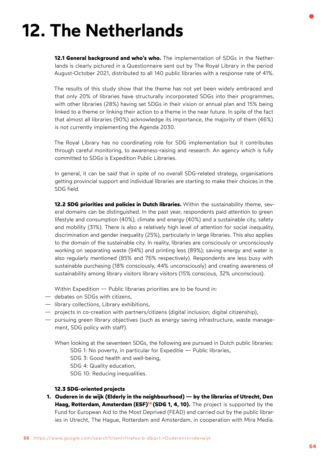## **12. The Netherlands**

**12.1 General background and who's who.** The implementation of SDGs in the Netherlands is clearly pictured in a Questionnaire sent out by The Royal Library in the period August-October 2021, distributed to all 140 public libraries with a response rate of 41%.

The results of this study show that the theme has not yet been widely embraced and that only 20% of libraries have structurally incorporated SDGs into their programmes, with other libraries (28%) having set SDGs in their vision or annual plan and 15% being linked to a theme or linking their action to a theme in the near future. In spite of the fact that almost all libraries (90%) acknowledge its importance, the majority of them (46%) is not currently implementing the Agenda 2030.

The Royal Library has no coordinating role for SDG implementation but it contributes through careful monitoring, to awareness-raising and research. An agency which is fully committed to SDGs is Expedition Public Libraries.

In general, it can be said that in spite of no overall SDG-related strategy, organisations getting provincial support and individual libraries are starting to make their choices in the SDG field.

**12.2 SDG priorities and policies in Dutch libraries.** Within the sustainability theme, several domains can be distinguished. In the past year, respondents paid attention to green lifestyle and consumption (40%), climate and energy (40%) and a sustainable city, safety and mobility (31%). There is also a relatively high level of attention for social inequality, discrimination and gender inequality (25%), particularly in large libraries. This also applies to the domain of the sustainable city. In reality, libraries are consciously or unconsciously working on separating waste (94%) and printing less (89%); saving energy and water is also regularly mentioned (85% and 76% respectively). Respondents are less busy with sustainable purchasing (18% consciously, 44% unconsciously) and creating awareness of sustainability among library visitors library visitors (15% conscious, 32% unconscious).

Within Expedition — Public libraries priorities are to be found in:

- debates on SDGs with citizens,
- library collections, Library exhibitions,
- projects in co-creation with partners/citizens (digital inclusion; digital citizenship),
- pursuing green library objectives (such as energy saving infrastructure, waste manage ment, SDG policy with staff).

When looking at the seventeen SDGs, the following are pursued in Dutch public libraries: SDG 1: No poverty, in particular for Expeditie — Public libraries, SDG 3: Good health and well-being,

SDG 4: Quality education,

SDG 10: Reducing inequalities.

#### **12.3 SDG-oriented projects**

**1. Ouderen in de wijk (Elderly in the neighbourhood) — by the libraries of Utrecht, Den Haag, Rotterdam, Amsterdam (ESF)<sup>56</sup> (SDG 1, 4, 10).** The project is supported by the Fund for European Aid to the Most Deprived (FEAD) and carried out by the public librar ies in Utrecht, The Hague, Rotterdam and Amsterdam, in cooperation with Mira Media.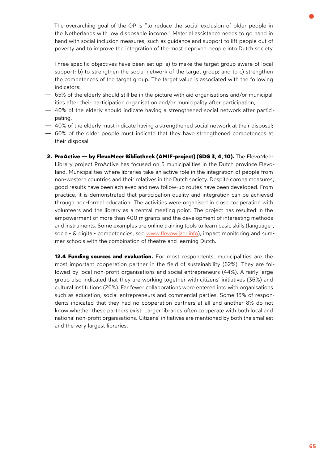The overarching goal of the OP is "to reduce the social exclusion of older people in the Netherlands with low disposable income." Material assistance needs to go hand in hand with social inclusion measures, such as guidance and support to lift people out of poverty and to improve the integration of the most deprived people into Dutch society.

Three specific objectives have been set up: a) to make the target group aware of local support; b) to strengthen the social network of the target group; and to c) strengthen the competences of the target group. The target value is associated with the following indicators:

- 65% of the elderly should still be in the picture with aid organisations and/or municipalities after their participation organisation and/or municipality after participation,
- 40% of the elderly should indicate having a strengthened social network after participating,
- 40% of the elderly must indicate having a strengthened social network at their disposal;
- 60% of the older people must indicate that they have strengthened competences at their disposal.
- **2. ProActive by FlevoMeer Bibliotheek (AMIF-project) (SDG 3, 4, 10).** The FlevoMeer Library project ProActive has focused on 5 municipalities in the Dutch province Flevoland. Municipalities where libraries take an active role in the integration of people from non-western countries and their relatives in the Dutch society. Despite corona measures, good results have been achieved and new follow-up routes have been developed. From practice, it is demonstrated that participation quality and integration can be achieved through non-formal education. The activities were organised in close cooperation with volunteers and the library as a central meeting point. The project has resulted in the empowerment of more than 400 migrants and the development of interesting methods and instruments. Some examples are online training tools to learn basic skills (language-, social- & digital- competencies, see [www.flevowijzer.info\)](http://www.flevowijzer.info), impact monitoring and summer schools with the combination of theatre and learning Dutch.

**12.4 Funding sources and evaluation.** For most respondents, municipalities are the most important cooperation partner in the field of sustainability (62%). They are followed by local non-profit organisations and social entrepreneurs (44%). A fairly large group also indicated that they are working together with citizens' initiatives (36%) and cultural institutions (26%). Far fewer collaborations were entered into with organisations such as education, social entrepreneurs and commercial parties. Some 13% of respondents indicated that they had no cooperation partners at all and another 8% do not know whether these partners exist. Larger libraries often cooperate with both local and national non-profit organisations. Citizens' initiatives are mentioned by both the smallest and the very largest libraries.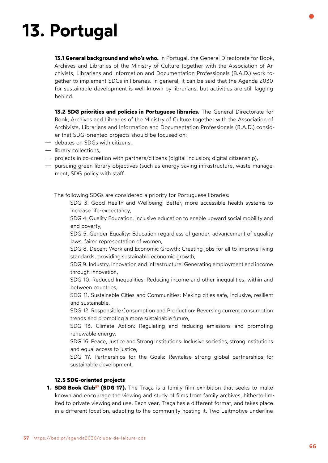# **13. Portugal**

**13.1 General background and who's who.** In Portugal, the General Directorate for Book, Archives and Libraries of the Ministry of Culture together with the Association of Archivists, Librarians and Information and Documentation Professionals (B.A.D.) work together to implement SDGs in libraries. In general, it can be said that the Agenda 2030 for sustainable development is well known by librarians, but activities are still lagging behind.

**13.2 SDG priorities and policies in Portuguese libraries.** The General Directorate for Book, Archives and Libraries of the Ministry of Culture together with the Association of Archivists, Librarians and Information and Documentation Professionals (B.A.D.) consider that SDG-oriented projects should be focused on:

- debates on SDGs with citizens,
- library collections,
- projects in co-creation with partners/citizens (digital inclusion; digital citizenship),
- pursuing green library objectives (such as energy saving infrastructure, waste management, SDG policy with staff.

The following SDGs are considered a priority for Portuguese libraries:

SDG 3. Good Health and Wellbeing: Better, more accessible health systems to increase life-expectancy,

SDG 4. Quality Education: Inclusive education to enable upward social mobility and end poverty,

SDG 5. Gender Equality: Education regardless of gender, advancement of equality laws, fairer representation of women,

SDG 8. Decent Work and Economic Growth: Creating jobs for all to improve living standards, providing sustainable economic growth,

SDG 9. Industry, Innovation and Infrastructure: Generating employment and income through innovation,

SDG 10. Reduced Inequalities: Reducing income and other inequalities, within and between countries,

SDG 11. Sustainable Cities and Communities: Making cities safe, inclusive, resilient and sustainable,

SDG 12. Responsible Consumption and Production: Reversing current consumption trends and promoting a more sustainable future,

SDG 13. Climate Action: Regulating and reducing emissions and promoting renewable energy,

SDG 16. Peace, Justice and Strong Institutions: Inclusive societies, strong institutions and equal access to justice,

SDG 17. Partnerships for the Goals: Revitalise strong global partnerships for sustainable development.

### **12.3 SDG-oriented projects**

**1. SDG Book Club<sup>57</sup> (SDG 17).** The Traça is a family film exhibition that seeks to make known and encourage the viewing and study of films from family archives, hitherto limited to private viewing and use. Each year, Traça has a different format, and takes place in a different location, adapting to the community hosting it. Two Leitmotive underline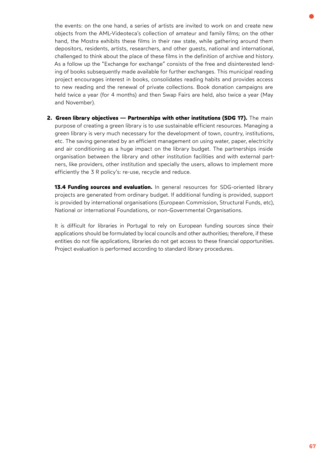the events: on the one hand, a series of artists are invited to work on and create new objects from the AML-Videoteca's collection of amateur and family films; on the other hand, the Mostra exhibits these films in their raw state, while gathering around them depositors, residents, artists, researchers, and other guests, national and international, challenged to think about the place of these films in the definition of archive and history. As a follow up the "Exchange for exchange" consists of the free and disinterested lending of books subsequently made available for further exchanges. This municipal reading project encourages interest in books, consolidates reading habits and provides access to new reading and the renewal of private collections. Book donation campaigns are held twice a year (for 4 months) and then Swap Fairs are held, also twice a year (May and November).

**2. Green library objectives — Partnerships with other institutions (SDG 17).** The main purpose of creating a green library is to use sustainable efficient resources. Managing a green library is very much necessary for the development of town, country, institutions, etc. The saving generated by an efficient management on using water, paper, electricity and air conditioning as a huge impact on the library budget. The partnerships inside organisation between the library and other institution facilities and with external partners, like providers, other institution and specially the users, allows to implement more efficiently the 3 R policy's: re-use, recycle and reduce.

**13.4 Funding sources and evaluation.** In general resources for SDG-oriented library projects are generated from ordinary budget. If additional funding is provided, support is provided by international organisations (European Commission, Structural Funds, etc), National or international Foundations, or non-Governmental Organisations.

It is difficult for libraries in Portugal to rely on European funding sources since their applications should be formulated by local councils and other authorities; therefore, if these entities do not file applications, libraries do not get access to these financial opportunities. Project evaluation is performed according to standard library procedures.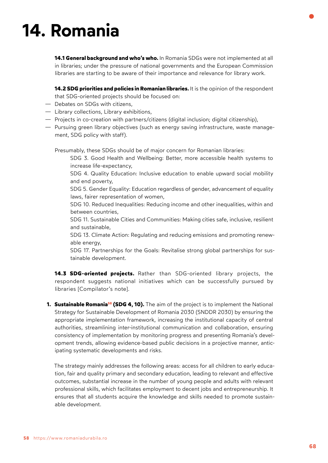# **14. Romania**

**14.1 General background and who's who.** In Romania SDGs were not implemented at all in libraries; under the pressure of national governments and the European Commission libraries are starting to be aware of their importance and relevance for library work.

**14.2 SDG priorities and policies in Romanian libraries.** It is the opinion of the respondent that SDG-oriented projects should be focused on:

- Debates on SDGs with citizens,
- Library collections, Library exhibitions,
- Projects in co-creation with partners/citizens (digital inclusion; digital citizenship),
- Pursuing green library objectives (such as energy saving infrastructure, waste management, SDG policy with staff).

Presumably, these SDGs should be of major concern for Romanian libraries:

- SDG 3. Good Health and Wellbeing: Better, more accessible health systems to increase life-expectancy,
- SDG 4. Quality Education: Inclusive education to enable upward social mobility and end poverty,

SDG 5. Gender Equality: Education regardless of gender, advancement of equality laws, fairer representation of women,

SDG 10. Reduced Inequalities: Reducing income and other inequalities, within and between countries,

SDG 11. Sustainable Cities and Communities: Making cities safe, inclusive, resilient and sustainable,

SDG 13. Climate Action: Regulating and reducing emissions and promoting renewable energy,

SDG 17. Partnerships for the Goals: Revitalise strong global partnerships for sustainable development.

**14.3 SDG-oriented projects.** Rather than SDG-oriented library projects, the respondent suggests national initiatives which can be successfully pursued by libraries [Compilator's note].

**[1. Sustainable Romania5](https://www.romaniadurabila.ro/)8 (SDG 4, 10).** The aim of the project is to implement the National Strategy for Sustainable Development of Romania 2030 (SNDDR 2030) by ensuring the appropriate implementation framework, increasing the institutional capacity of central authorities, streamlining inter-institutional communication and collaboration, ensuring consistency of implementation by monitoring progress and presenting Romania's development trends, allowing evidence-based public decisions in a projective manner, anticipating systematic developments and risks.

The strategy mainly addresses the following areas: access for all children to early education, fair and quality primary and secondary education, leading to relevant and effective outcomes, substantial increase in the number of young people and adults with relevant professional skills, which facilitates employment to decent jobs and entrepreneurship. It ensures that all students acquire the knowledge and skills needed to promote sustainable development.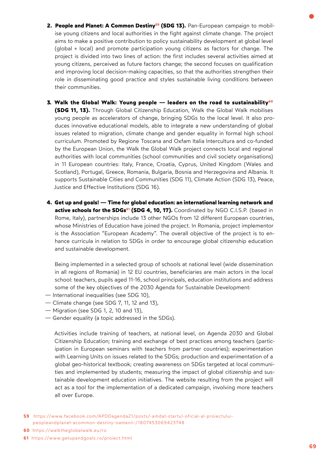- **[2. People and Planet: A Common Destiny](https://www.facebook.com/APDDagenda21/posts/-amdat-startul-oficial-al-proiectului-peopleandplanet-acommon-destiny-oamenii-/1807453069423748)59 (SDG 13).** Pan-European campaign to mobilise young citizens and local authorities in the fight against climate change. The project aims to make a positive contribution to policy sustainability development at global level (global + local) and promote participation young citizens as factors for change. The project is divided into two lines of action: the first includes several activities aimed at young citizens, perceived as future factors change; the second focuses on qualification and improving local decision-making capacities, so that the authorities strengthen their role in disseminating good practice and styles sustainable living conditions between their communities.
- **[3. Walk the Global Walk: Young people leaders on the road to sustainability6](https://walktheglobalwalk.eu/ro)0 (SDG 11, 13).** Through Global Citizenship Education, Walk the Global Walk mobilises young people as accelerators of change, bringing SDGs to the local level. It also produces innovative educational models, able to integrate a new understanding of global issues related to migration, climate change and gender equality in formal high school curriculum. Promoted by Regione Toscana and Oxfam Italia Intercultura and co-funded by the European Union, the Walk the Global Walk project connects local and regional authorities with local communities (school communities and civil society organisations) in 11 European countries: Italy, France, Croatia, Cyprus, United Kingdom (Wales and Scotland), Portugal, Greece, Romania, Bulgaria, Bosnia and Herzegovina and Albania. It supports Sustainable Cities and Communities (SDG 11), Climate Action (SDG 13), Peace, Justice and Effective Institutions (SDG 16).
- **4. Get up and goals! Time for global education: an international learning network [and](https://www.getupandgoals.ro/proiect.html)**  active schools for the SDGs<sup>61</sup> (SDG 4, 10, 17). Coordinated by NGO C.I.S.P. (based in Rome, Italy), partnerships include 13 other NGOs from 12 different European countries, whose Ministries of Education have joined the project. In Romania, project implementor is the Association "European Academy". The overall objective of the project is to enhance curricula in relation to SDGs in order to encourage global citizenship education and sustainable development.

Being implemented in a selected group of schools at national level (wide dissemination in all regions of Romania) in 12 EU countries, beneficiaries are main actors in the local school: teachers, pupils aged 11-16, school principals, education institutions and address some of the key objectives of the 2030 Agenda for Sustainable Development:

- International inequalities (see SDG 10),
- Climate change (see SDG 7, 11, 12 and 13),
- Migration (see SDG 1, 2, 10 and 13),
- Gender equality (a topic addressed in the SDGs).

Activities include training of teachers, at national level, on Agenda 2030 and Global Citizenship Education; training and exchange of best practices among teachers (participation in European seminars with teachers from partner countries); experimentation with Learning Units on issues related to the SDGs; production and experimentation of a global geo-historical textbook; creating awareness on SDGs targeted at local communities and implemented by students; measuring the impact of global citizenship and sustainable development education initiatives. The website resulting from the project will act as a tool for the implementation of a dedicated campaign, involving more teachers all over Europe.

- **59** [https://www.facebook.com/APDDagenda21/posts/-amdat-startul-oficial-al-proiectului](https://www.facebook.com/APDDagenda21/posts/-amdat-startul-oficial-al-proiectului-peopleandplanet-acommon-destiny-oamenii-/1807453069423748)  [peopleandplanet-acommon-destiny-oamenii-/1807453069423748](https://www.facebook.com/APDDagenda21/posts/-amdat-startul-oficial-al-proiectului-peopleandplanet-acommon-destiny-oamenii-/1807453069423748)
- **60** <https://walktheglobalwalk.eu/ro>
- **61** <https://www.getupandgoals.ro/proiect.html>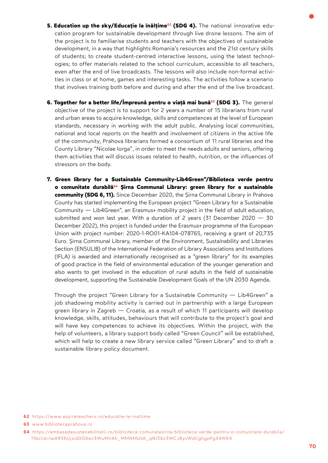- 5. Education up the sky/Educație la înălțime<sup>62</sup> (SDG 4). The national innovative education program for sustainable development through live drone lessons. The aim of the project is to familiarise students and teachers with the objectives of sustainable development, in a way that highlights Romania's resources and the 21st century skills of students; to create student-centred interactive lessons, using the latest technologies; to offer materials related to the school curriculum, accessible to all teachers, even after the end of live broadcasts. The lessons will also include non-formal activities in class or at home, games and interesting tasks. The activities follow a scenario that involves training both before and during and after the end of the live broadcast.
- **6. Together for a better life/Împreună pentru o viață [mai bună6](http://www.bibliotecaprahova.ro/)3 (SDG 3).** The general objective of the project is to support for 2 years a number of 15 librarians from rural and urban areas to acquire knowledge, skills and competences at the level of European standards, necessary in working with the adult public. Analysing local communities, national and local reports on the health and involvement of citizens in the active life of the community, Prahova librarians formed a consortium of 11 rural libraries and the County Library "Nicolae Iorga", in order to meet the needs adults and seniors, offering them activities that will discuss issues related to health, nutrition, or the influences of stressors on the body.
- **7. Green library for a Sustainable Community-Lib4Green"/Biblioteca verde pentru o comunitate [durabilă64](https://ambasadasustenabilitatii.ro/biblioteca-comunalasirna-biblioteca-verde-pentru-o-comunitate-durabila/?fbclid=IwAR36UjzidDOXen3WuMIIAh_MMNMUkK_qNI3Xo3WCJ8ycWdCghgpPg34WE4) Șirna Communal Library: green library for a sustainable community (SDG 6, 11).** Since December 2020, the Șirna Communal Library in Prahova County has started implementing the European project "Green Library for a Sustainable Community — Lib4Green", an Erasmus+ mobility project in the field of adult education, submitted and won last year. With a duration of 2 years (31 December 2020 — 30 December 2022), this project is funded under the Erasmus+ programme of the European Union with project number: 2020-1-RO01-KA104-078765, receiving a grant of 20,735 Euro. Șirna Communal Library, member of the Environment, Sustainability and Libraries Section (ENSULIB) of the International Federation of Library Associations and Institutions (IFLA) is awarded and internationally recognised as a "green library" for its examples of good practice in the field of environmental education of the younger generation and also wants to get involved in the education of rural adults in the field of sustainable development, supporting the Sustainable Development Goals of the UN 2030 Agenda.

Through the project "Green Library for a Sustainable Community — Lib4Green" a job shadowing mobility activity is carried out in partnership with a large European green library in Zagreb — Croatia, as a result of which 11 participants will develop knowledge, skills, attitudes, behaviours that will contribute to the project's goal and will have key competences to achieve its objectives. Within the project, with the help of volunteers, a library support body called "Green Council" will be established, which will help to create a new library service called "Green Library" and to draft a sustainable library policy document.

**62** <https://www.aspireteachers.ro/educatie-la-inaltime>

**<sup>63</sup>** [www.bibliotecaprahova.ro](http://www.bibliotecaprahova.ro/) 

**<sup>64</sup>** [https://ambasadasustenabilitatii.ro/biblioteca-comunalasirna-biblioteca-verde-pentru-o-comunitate-durabila/](https://ambasadasustenabilitatii.ro/biblioteca-comunalasirna-biblioteca-verde-pentru-o-comunitate-durabila/?fbclid=IwAR36UjzidDOXen3WuMIIAh_MMNMUkK_qNI3Xo3WCJ8ycWdCghgpPg34WE4)  [?fbclid=IwAR36UjzidDOXen3WuMIIAh\\_MMNMUkK\\_qNI3Xo3WCJ8ycWdCghgpPg34WE4](https://ambasadasustenabilitatii.ro/biblioteca-comunalasirna-biblioteca-verde-pentru-o-comunitate-durabila/?fbclid=IwAR36UjzidDOXen3WuMIIAh_MMNMUkK_qNI3Xo3WCJ8ycWdCghgpPg34WE4)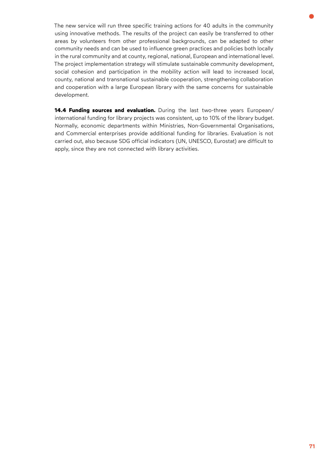The new service will run three specific training actions for 40 adults in the community using innovative methods. The results of the project can easily be transferred to other areas by volunteers from other professional backgrounds, can be adapted to other community needs and can be used to influence green practices and policies both locally in the rural community and at county, regional, national, European and international level. The project implementation strategy will stimulate sustainable community development, social cohesion and participation in the mobility action will lead to increased local, county, national and transnational sustainable cooperation, strengthening collaboration and cooperation with a large European library with the same concerns for sustainable development.

**14.4 Funding sources and evaluation.** During the last two-three years European/ international funding for library projects was consistent, up to 10% of the library budget. Normally, economic departments within Ministries, Non-Governmental Organisations, and Commercial enterprises provide additional funding for libraries. Evaluation is not carried out, also because SDG official indicators (UN, UNESCO, Eurostat) are difficult to apply, since they are not connected with library activities.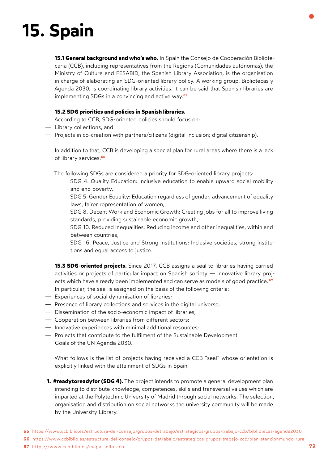# **15. Spain**

**15.1 General background and who's who.** In Spain the Consejo de Cooperación Bibliotecaria (CCB), including representatives from the Regions (Comunidades autónomas), the Ministry of Culture and FESABID, the Spanish Library Association, is the organisation in charge of elaborating an SDG-oriented library policy. A working group, Bibliotecas y Agenda 2030, is coordinating library activities. It can be said that Spanish libraries are implementing SDGs in a convincing and [active way.](https://www.ccbiblio.es/estructura-del-consejo/grupos-detrabajo/estrategicos-grupos-trabajo-ccb/bibliotecas-agenda2030)**<sup>65</sup>**

### **15.2 SDG priorities and policies in Spanish libraries.**

According to CCB, SDG-oriented policies should focus on:

- Library collections, and
- Projects in co-creation with partners/citizens (digital inclusion; digital citizenship).

In addition to that, CCB is developing a special plan for rural areas where there is a lack [of library services.](https://www.ccbiblio.es/estructura-del-consejo/grupos-detrabajo/estrategicos-grupos-trabajo-ccb/plan-atencionmundo-rural)**<sup>66</sup>**

The following SDGs are considered a priority for SDG-oriented library projects:

SDG 4. Quality Education: Inclusive education to enable upward social mobility and end poverty,

SDG 5. Gender Equality: Education regardless of gender, advancement of equality laws, fairer representation of women,

SDG 8. Decent Work and Economic Growth: Creating jobs for all to improve living standards, providing sustainable economic growth,

SDG 10. Reduced Inequalities: Reducing income and other inequalities, within and between countries,

SDG 16. Peace, Justice and Strong Institutions: Inclusive societies, strong institutions and equal access to justice.

- **15.3 SDG-oriented projects.** Since 2017, CCB assigns a seal to libraries having carried activities or projects of particular impact on Spanish society — innovative library projects which have already been implemented and can serve as models o[f good practice.](https://www.ccbiblio.es/mapa-sello-ccb) **<sup>67</sup>** In particular, the seal is assigned on the basis of the following criteria:
- Experiences of social dynamisation of libraries;
- Presence of library collections and services in the digital universe;
- Dissemination of the socio-economic impact of libraries;
- Cooperation between libraries from different sectors;
- Innovative experiences with minimal additional resources;
- Projects that contribute to the fulfilment of the Sustainable Development Goals of the UN Agenda 2030.

What follows is the list of projects having received a CCB "seal" whose orientation is explicitly linked with the attainment of SDGs in Spain.

- **1. #readytoreadyfor (SDG 4).** The project intends to promote a general development plan intending to distribute knowledge, competences, skills and transversal values which are imparted at the Polytechnic University of Madrid through social networks. The selection, organisation and distribution on social networks the university community will be made by the University Library.
- **65** <https://www.ccbiblio.es/estructura-del-consejo/grupos-detrabajo/estrategicos-grupos-trabajo-ccb/bibliotecas-agenda2030>
- **66** [https://www.ccbiblio.es/estructura-del-consejo/grupos-detrabajo/estrategicos-grupos-trabajo-ccb/plan-atencionmundo-rural](https://udrzitelna.knihovna.cz/tema-2021#h.6v1499xs50az)
- **67** <https://www.ccbiblio.es/mapa-sello-ccb>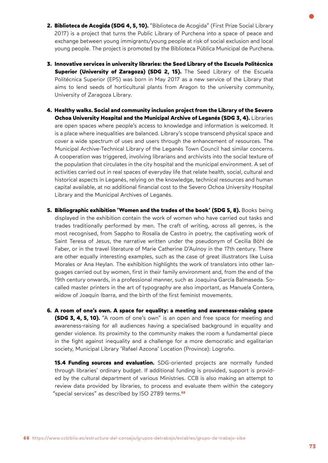- 2. Biblioteca de Acogida (SDG 4, 5, 10). "Biblioteca de Acogida" (First Prize Social Library 2017) is a project that turns the Public Library of Purchena into a space of peace and exchange between young immigrants/young people at risk of social exclusion and local young people. The project is promoted by the Biblioteca Pública Municipal de Purchena.
- **3. Innovative services in university libraries: the Seed Library of the Escuela Politécnica Superior (University of Zaragoza) (SDG 2, 15).** The Seed Library of the Escuela Politécnica Superior (EPS) was born in May 2017 as a new service of the Library that aims to lend seeds of horticultural plants from Aragon to the university community, University of Zaragoza Library.
- **4. Healthy walks. Social and community inclusion project from the Library of the Severo Ochoa University Hospital and the Municipal Archive of Leganés (SDG 3, 4).** Libraries are open spaces where people's access to knowledge and information is welcomed. It is a place where inequalities are balanced. Library's scope transcend physical space and cover a wide spectrum of uses and users through the enhancement of resources. The Municipal Archive-Technical Library of the Leganés Town Council had similar concerns. A cooperation was triggered, involving librarians and archivists into the social texture of the population that circulates in the city hospital and the municipal environment. A set of activities carried out in real spaces of everyday life that relate health, social, cultural and historical aspects in Leganés, relying on the knowledge, technical resources and human capital available, at no additional financial cost to the Severo Ochoa University Hospital Library and the Municipal Archives of Leganés.
- **5. Bibliographic exhibition 'Women and the trades of the book' (SDG 5, 8).** Books being displayed in the exhibition contain the work of women who have carried out tasks and trades traditionally performed by men. The craft of writing, across all genres, is the most recognised, from Sappho to Rosalía de Castro in poetry, the captivating work of Saint Teresa of Jesus, the narrative written under the pseudonym of Cecilia Böhl de Faber, or in the travel literature of Marie Catherine D'Aulnoy in the 17th century. There are other equally interesting examples, such as the case of great illustrators like Luisa Morales or Ana Heylan. The exhibition highlights the work of translators into other languages carried out by women, first in their family environment and, from the end of the 19th century onwards, in a professional manner, such as Joaquina García Balmaseda. Socalled master printers in the art of typography are also important, as Manuela Contera, widow of Joaquín Ibarra, and the birth of the first feminist movements.
- **6. A room of one's own. A space for equality: a meeting and awareness-raising space (SDG 3, 4, 5, 10).** "A room of one's own" is an open and free space for meeting and awareness-raising for all audiences having a specialised background in equality and gender violence. Its proximity to the community makes the room a fundamental piece in the fight against inequality and a challenge for a more democratic and egalitarian society, Municipal Library 'Rafael Azcona' Location (Province): Logroño.

**15.4 Funding sources and evaluation.** SDG-oriented projects are normally funded through libraries' ordinary budget. If additional funding is provided, support is provided by the cultural department of various Ministries. CCB is also making an attempt to review data provided by libraries, to process and evaluate them within the category ["special services" as described by ISO 2789 terms.](https://www.ccbiblio.es/estructura-del-consejo/grupos-detrabajo/estables/grupo-de-trabajo-sibe)**<sup>68</sup>**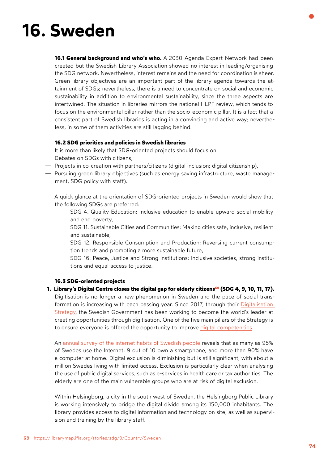# **16. Sweden**

**16.1 General background and who's who.** A 2030 Agenda Expert Network had been created but the Swedish Library Association showed no interest in leading/organising the SDG network. Nevertheless, interest remains and the need for coordination is sheer. Green library objectives are an important part of the library agenda towards the attainment of SDGs; nevertheless, there is a need to concentrate on social and economic sustainability in addition to environmental sustainability, since the three aspects are intertwined. The situation in libraries mirrors the national HLPF review, which tends to focus on the environmental pillar rather than the socio-economic pillar. It is a fact that a consistent part of Swedish libraries is acting in a convincing and active way; nevertheless, in some of them activities are still lagging behind.

## **16.2 SDG priorities and policies in Swedish libraries**

It is more than likely that SDG-oriented projects should focus on:

- Debates on SDGs with citizens,
- Projects in co-creation with partners/citizens (digital inclusion; digital citizenship),
- Pursuing green library objectives (such as energy saving infrastructure, waste management, SDG policy with staff).

A quick glance at the orientation of SDG-oriented projects in Sweden would show that the following SDGs are preferred:

SDG 4. Quality Education: Inclusive education to enable upward social mobility and end poverty,

SDG 11. Sustainable Cities and Communities: Making cities safe, inclusive, resilient and sustainable,

SDG 12. Responsible Consumption and Production: Reversing current consumption trends and promoting a more sustainable future,

SDG 16. Peace, Justice and Strong Institutions: Inclusive societies, strong institutions and equal access to justice.

#### **16.3 SDG-oriented projects**

**[1. Library's Digital Centre closes the digital gap for elderly citizens](https://librarymap.ifla.org/stories/sdg/0/Country/Sweden)69 (SDG 4, 9, 10, 11, 17).**  Digitisation is no longer a new phenomenon in Sweden and the pace of social transformation is increasing with each passing year. Since 2017, through their [Digitalisation](https://digitaliseringsradet.se/sveriges-digitalisering/sveriges-digitaliseringspolitik/)  [Strategy,](https://digitaliseringsradet.se/sveriges-digitalisering/sveriges-digitaliseringspolitik/) the Swedish Government has been working to become the world's leader at creating opportunities through digitisation. One of the five main pillars of the Strategy is to ensure everyone is offered the opportunity to improve [digital competencies.](https://digitaliseringsradet.se/sveriges-digitalisering/digital-kompetens/)

An [annual survey of the internet habits of Swedish people](https://svenskarnaochinternet.se/english/) reveals that as many as 95% of Swedes use the Internet, 9 out of 10 own a smartphone, and more than 90% have a computer at home. Digital exclusion is diminishing but is still significant, with about a million Swedes living with limited access. Exclusion is particularly clear when analysing the use of public digital services, such as e-services in health care or tax authorities. The elderly are one of the main vulnerable groups who are at risk of digital exclusion.

Within Helsingborg, a city in the south west of Sweden, the Helsingborg Public Library is working intensively to bridge the digital divide among its 150,000 inhabitants. The library provides access to digital information and technology on site, as well as supervision and training by the library staff.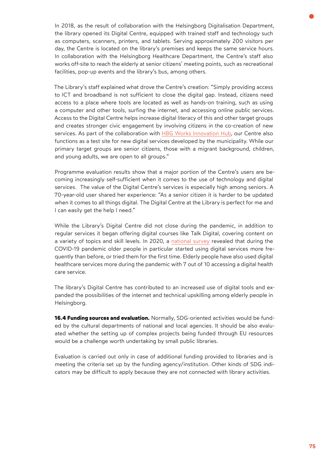In 2018, as the result of collaboration with the Helsingborg Digitalisation Department, the library opened its Digital Centre, equipped with trained staff and technology such as computers, scanners, printers, and tablets. Serving approximately 200 visitors per day, the Centre is located on the library's premises and keeps the same service hours. In collaboration with the Helsingborg Healthcare Department, the Centre's staff also works off-site to reach the elderly at senior citizens' meeting points, such as recreational facilities, pop-up events and the library's bus, among others.

The Library's staff explained what drove the Centre's creation: "Simply providing access to ICT and broadband is not sufficient to close the digital gap. Instead, citizens need access to a place where tools are located as well as hands-on training, such as using a computer and other tools, surfing the internet, and accessing online public services. Access to the Digital Centre helps increase digital literacy of this and other target groups and creates stronger civic engagement by involving citizens in the co-creation of new services. As part of the collaboration with [HBG Works Innovation Hub](https://innovation.helsingborg.se/hbgworks/), our Centre also functions as a test site for new digital services developed by the municipality. While our primary target groups are senior citizens, those with a migrant background, children, and young adults, we are open to all groups."

Programme evaluation results show that a major portion of the Centre's users are becoming increasingly self-sufficient when it comes to the use of technology and digital services. The value of the Digital Centre's services is especially high among seniors. A 70-year-old user shared her experience: "As a senior citizen it is harder to be updated when it comes to all things digital. The Digital Centre at the Library is perfect for me and I can easily get the help I need."

While the Library's Digital Centre did not close during the pandemic, in addition to regular services it began offering digital courses like Talk Digital, covering content on a variety of topics and skill levels. In 2020, a [national survey](https://svenskarnaochinternet.se/rapporter/svenskarna-och-internet-2020/the-swedes-and-the-internet-2020-summary/) revealed that during the COVID-19 pandemic older people in particular started using digital services more frequently than before, or tried them for the first time. Elderly people have also used digital healthcare services more during the pandemic with 7 out of 10 accessing a digital health care service.

The library's Digital Centre has contributed to an increased use of digital tools and expanded the possibilities of the internet and technical upskilling among elderly people in Helsingborg.

**16.4 Funding sources and evaluation.** Normally, SDG-oriented activities would be funded by the cultural departments of national and local agencies. It should be also evaluated whether the setting up of complex projects being funded through EU resources would be a challenge worth undertaking by small public libraries.

Evaluation is carried out only in case of additional funding provided to libraries and is meeting the criteria set up by the funding agency/institution. Other kinds of SDG indicators may be difficult to apply because they are not connected with library activities.